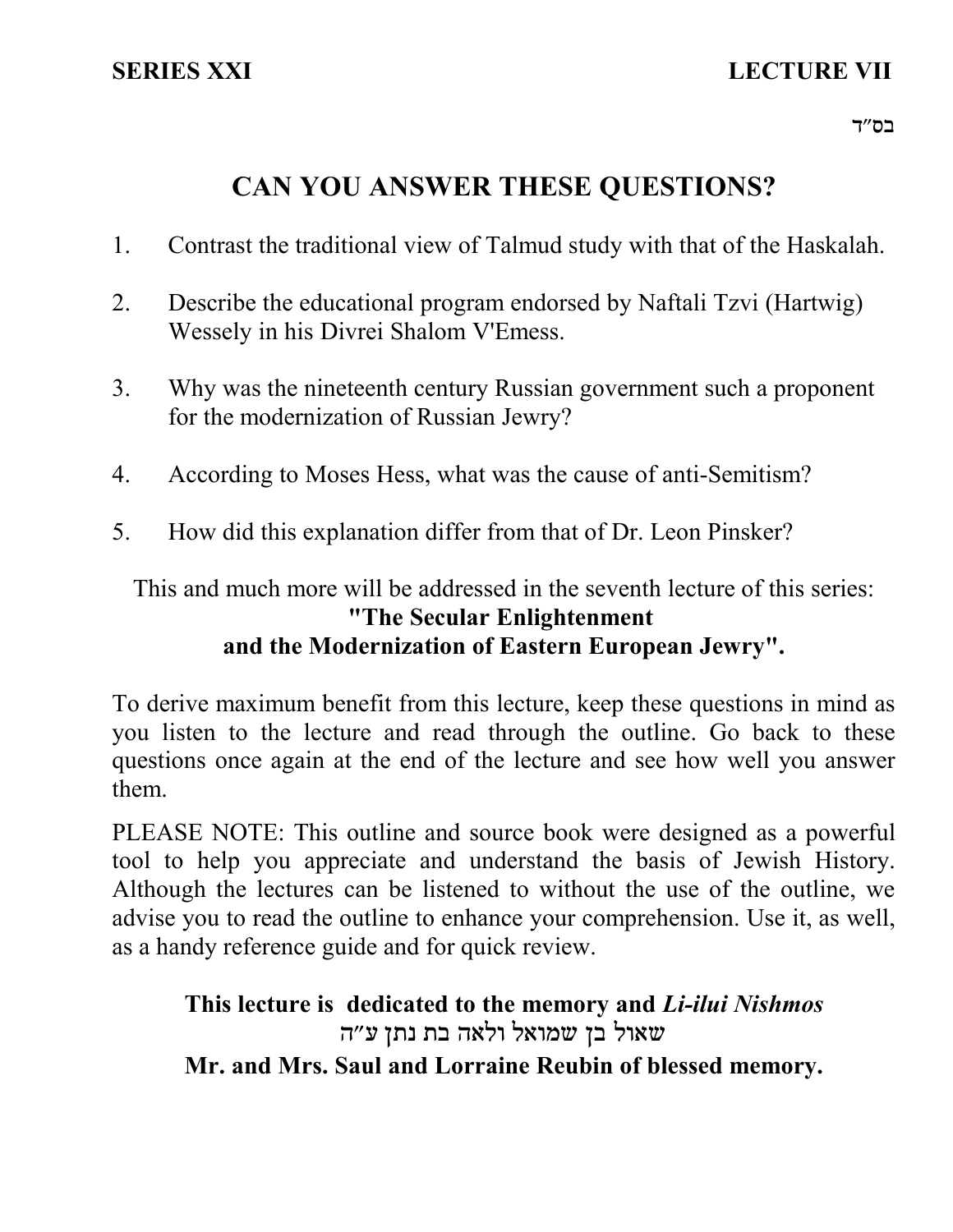רס"ד $\,$ 

# **CAN YOU ANSWER THESE QUESTIONS?**

- 1. Contrast the traditional view of Talmud study with that of the Haskalah.
- 2. Describe the educational program endorsed by Naftali Tzvi (Hartwig) Wessely in his Divrei Shalom V'Emess.
- 3. Why was the nineteenth century Russian government such a proponent for the modernization of Russian Jewry?
- 4. According to Moses Hess, what was the cause of anti-Semitism?
- 5. How did this explanation differ from that of Dr. Leon Pinsker?

This and much more will be addressed in the seventh lecture of this series: **"The Secular Enlightenment and the Modernization of Eastern European Jewry".**

To derive maximum benefit from this lecture, keep these questions in mind as you listen to the lecture and read through the outline. Go back to these questions once again at the end of the lecture and see how well you answer them.

PLEASE NOTE: This outline and source book were designed as a powerful tool to help you appreciate and understand the basis of Jewish History. Although the lectures can be listened to without the use of the outline, we advise you to read the outline to enhance your comprehension. Use it, as well, as a handy reference guide and for quick review.

**This lecture is dedicated to the memory and** *Li-ilui Nishmos* שאול בן שמואל ולאה בת נתן ע"ה  $^\prime$ **Mr. and Mrs. Saul and Lorraine Reubin of blessed memory.**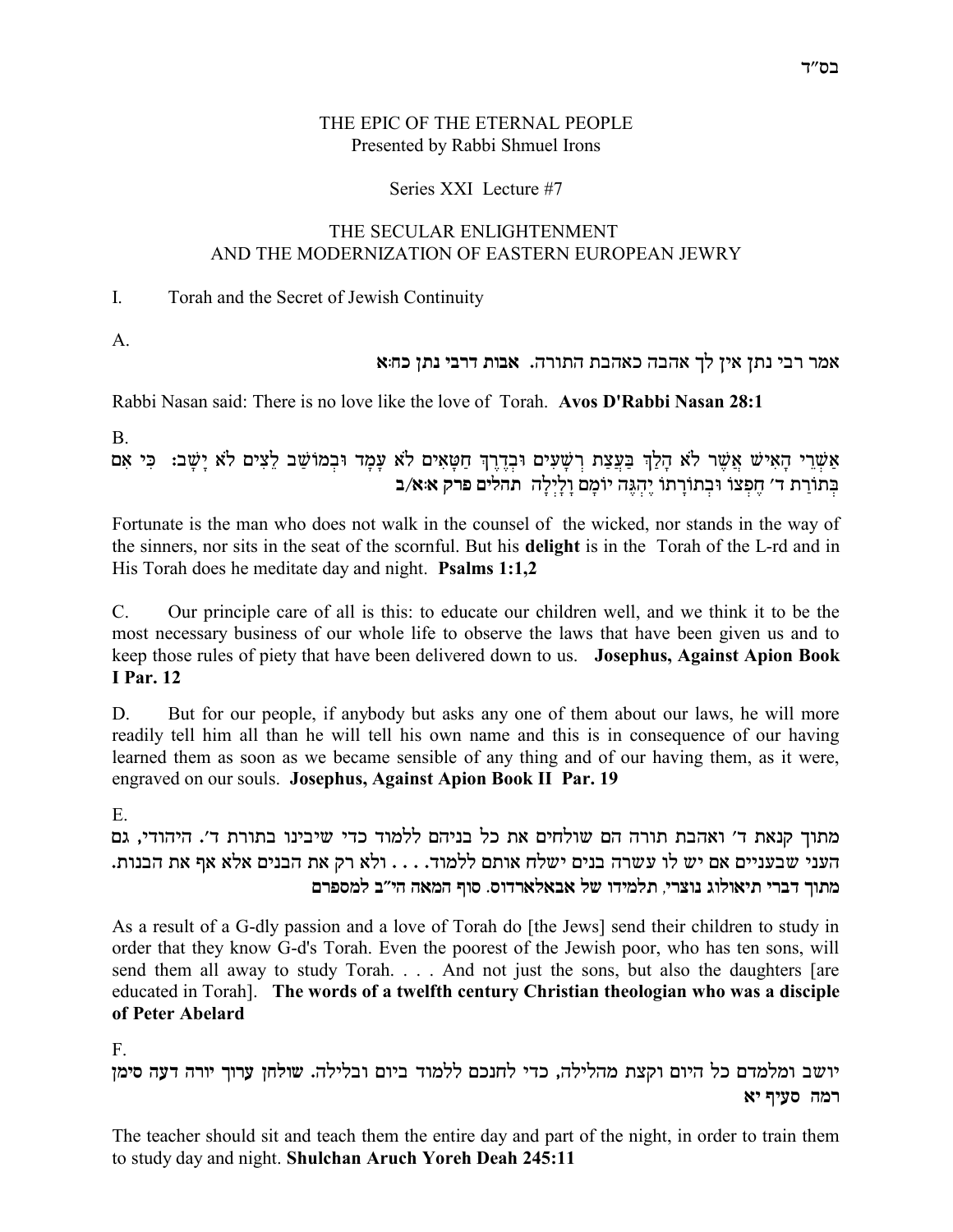### THE EPIC OF THE ETERNAL PEOPLE Presented by Rabbi Shmuel Irons

#### Series XXI Lecture #7

### THE SECULAR ENLIGHTENMENT AND THE MODERNIZATION OF EASTERN EUROPEAN JEWRY

#### I. Torah and the Secret of Jewish Continuity

A.

# **אמר רבי נתן אין לך אהבה כאהבת התורה. אבות דרבי נתן כח:א**

Rabbi Nasan said: There is no love like the love of Torah. **Avos D'Rabbi Nasan 28:1**

B.

אַשְׁרֵי הָאִישׁ אֲשֶׁר לֹא הָלַךְ בַּעֲצַת רְשָׁעִים וּבְדֶרֶךְ חַטָּאִים לֹא עָמָד וּבְמוֹשַׁב לֵצִים לֹא יָשָׁב: כִּי אִם בְּתוֹרַת ד׳ חֶפְצוֹ וּבְתוֹרָתוֹ יֶהְגֶּה יוֹמָם וָלְיָלָה <sub>ו</sub>תהלים פרק אּ:א⁄ב

Fortunate is the man who does not walk in the counsel of the wicked, nor stands in the way of the sinners, nor sits in the seat of the scornful. But his **delight** is in the Torah of the L-rd and in His Torah does he meditate day and night. **Psalms 1:1,2**

C. Our principle care of all is this: to educate our children well, and we think it to be the most necessary business of our whole life to observe the laws that have been given us and to keep those rules of piety that have been delivered down to us. **Josephus, Against Apion Book I Par. 12**

D. But for our people, if anybody but asks any one of them about our laws, he will more readily tell him all than he will tell his own name and this is in consequence of our having learned them as soon as we became sensible of any thing and of our having them, as it were, engraved on our souls. **Josephus, Against Apion Book II Par. 19**

E.

מתוך קנאת ד׳ ואהבת תורה הם שולחים את כל בניהם ללמוד כדי שיבינו בתורת ד׳. היהודי, גם . העני שבעניים אם יש לו עשרה בנים ישלח אותם ללמוד. . . . ולא רק את הבנים אלא אף את הבנות. **mxtqnl a"id d`nd seq .qecx`l`a` ly ecinlz ,ixvep bele`iz ixac jezn**

As a result of a G-dly passion and a love of Torah do [the Jews] send their children to study in order that they know G-d's Torah. Even the poorest of the Jewish poor, who has ten sons, will send them all away to study Torah. . . . And not just the sons, but also the daughters [are educated in Torah]. **The words of a twelfth century Christian theologian who was a disciple of Peter Abelard**

F.

יושב ומלמדם כל היום וקצת מהלילה, כדי לחנכם ללמוד ביום ובלילה. שולחן ערוך יורה דעה סימן **רמה** סעיף יא

The teacher should sit and teach them the entire day and part of the night, in order to train them to study day and night. **Shulchan Aruch Yoreh Deah 245:11**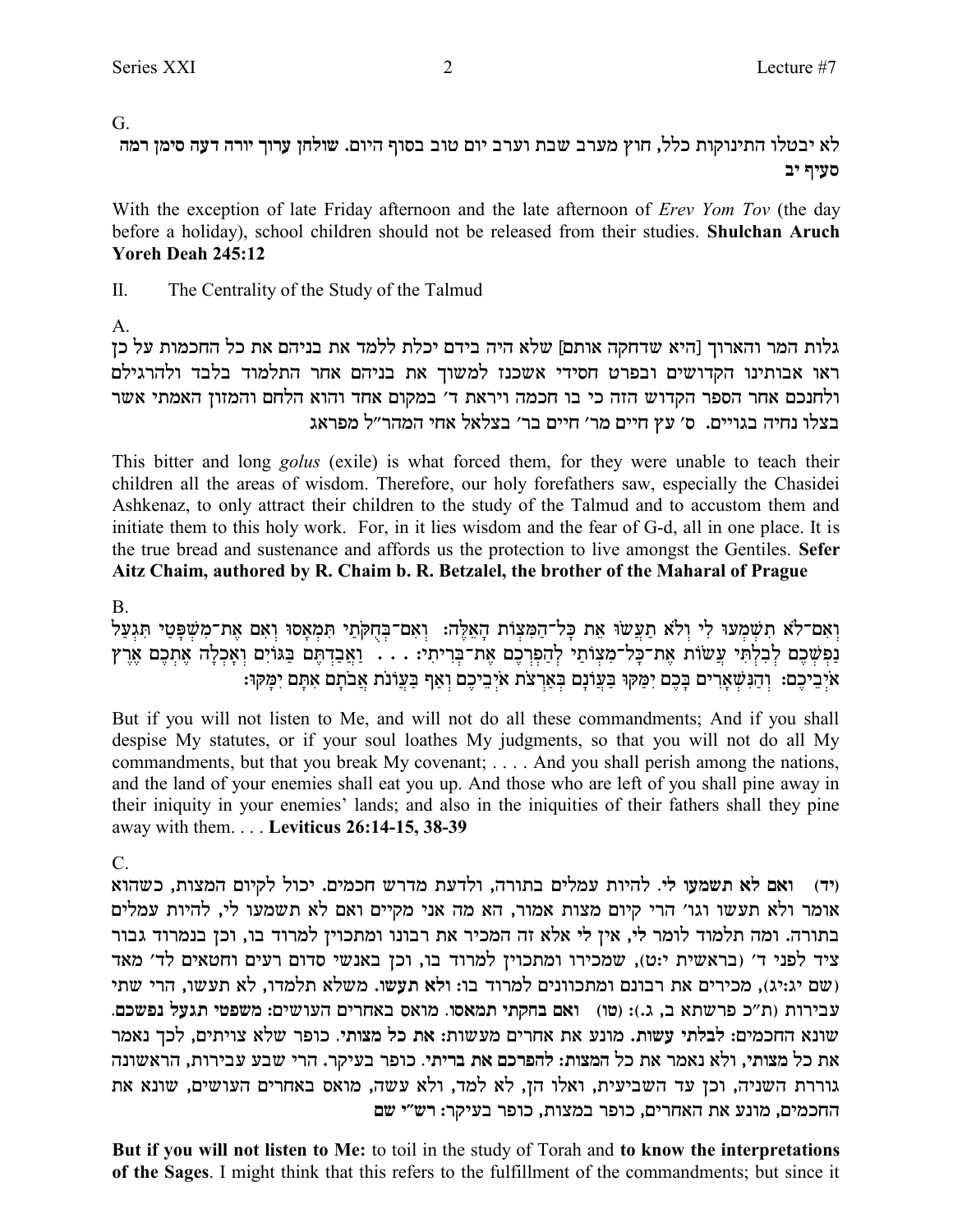$\mathsf{G}$ 

לא יבטלו התינוקות כלל, חוץ מערב שבת וערב יום טוב בסוף היום. שולחן ערוך יורה דעה סימן רמה סעיף יב

With the exception of late Friday afternoon and the late afternoon of *Erev Yom Tov* (the day before a holiday), school children should not be released from their studies. Shulchan Aruch Yoreh Deah 245:12

 $\Pi$ The Centrality of the Study of the Talmud

 $\mathbf{A}$ 

גלות המר והארוך [היא שדחקה אותם] שלא היה בידם יכלת ללמד את בניהם את כל החכמות על כן ראו אבותינו הקדושים ובפרט חסידי אשכנז למשוך את בניהם אחר התלמוד בלבד ולהרגילם ולחנכם אחר הספר הקדוש הזה כי בו חכמה ויראת ד' במקום אחד והוא הלחם והמזון האמתי אשר בצלו נחיה בגויים. ס׳ עץ חיים מר׳ חיים בר׳ בצלאל אחי המהר״ל מפראג

This bitter and long *golus* (exile) is what forced them, for they were unable to teach their children all the areas of wisdom. Therefore, our holy forefathers saw, especially the Chasidei Ashkenaz, to only attract their children to the study of the Talmud and to accustom them and initiate them to this holy work. For, in it lies wisdom and the fear of G-d, all in one place. It is the true bread and sustenance and affords us the protection to live amongst the Gentiles. Sefer Aitz Chaim, authored by R. Chaim b. R. Betzalel, the brother of the Maharal of Prague

 $B<sub>1</sub>$ 

וְאִם־לֹא תְשָׁמְעוּ לִי וְלֹא תַעֲשׂוּ אֶת כָּל־הַמְּצְוֹת הַאֲלֵה: וְאִם־בְּחִקֹּתֵי תִּמְאֵסוּ וְאִם אֶת־מִשְׁפָּטֵי תִּגְעָל .<br>נפשכם לבלתי עשות את־כל־מצותי להפרכם את־בריתי: . . . נאבדתם בגוים ואכלה אתכם ארץ אִיְבֵיכֶם: וְהַנִּשְׁאָרִים בָּכֶם יִמַּקוּ בַּעֲוֹנָם בְּאַרְצֹת אִיְבֵיכֶם וְאַף בַּעֲוֹנֹת אֲבֹתָם אִתָּם יִמַּקוּ:

But if you will not listen to Me, and will not do all these commandments; And if you shall despise My statutes, or if your soul loathes My judgments, so that you will not do all My commandments, but that you break My covenant; ... And you shall perish among the nations, and the land of your enemies shall eat you up. And those who are left of you shall pine away in their iniquity in your enemies' lands; and also in the iniquities of their fathers shall they pine away with them. . . . Leviticus 26:14-15, 38-39

 $\overline{C}$ .

(יד) ואם לא תשמעו לי. להיות עמלים בתורה, ולדעת מדרש חכמים. יכול לקיום המצות, כשהוא אומר ולא תעשו וגו׳ הרי קיום מצות אמור, הא מה אני מקיים ואם לא תשמעו לי, להיות עמלים בתורה. ומה תלמוד לומר לי, אין לי אלא זה המכיר את רבונו ומתכוין למרוד בו, וכן בנמרוד גבור ציד לפני ד' (בראשית י:ט), שמכירו ומתכוין למרוד בו, וכן באנשי סדום רעים וחטאים לד' מאד (שם יג:יג), מכירים את רבונם ומתכוונים למרוד בו: ולא תעשו. משלא תלמדו, לא תעשו, הרי שתי עבירות (ת"כ פרשתא ב, ג.): (טו) ואם בחקתי תמאסו. מואס באחרים העושים: משפטי תגעל נפשכם. שונא החכמים: לבלתי עשות. מונע את אחרים מעשות: את כל מצותי. כופר שלא צויתים, לכך נאמר את כל מצותי, ולא נאמר את כל המצות: להפרכם את בריתי. כופר בעיקר. הרי שבע עבירות, הראשונה גוררת השניה, וכן עד השביעית, ואלו הן, לא למד, ולא עשה, מואס באחרים העושים, שונא את החכמים, מונע את האחרים, כופר במצות, כופר בעיקר: רש"י שם

But if you will not listen to Me: to toil in the study of Torah and to know the interpretations of the Sages. I might think that this refers to the fulfillment of the commandments; but since it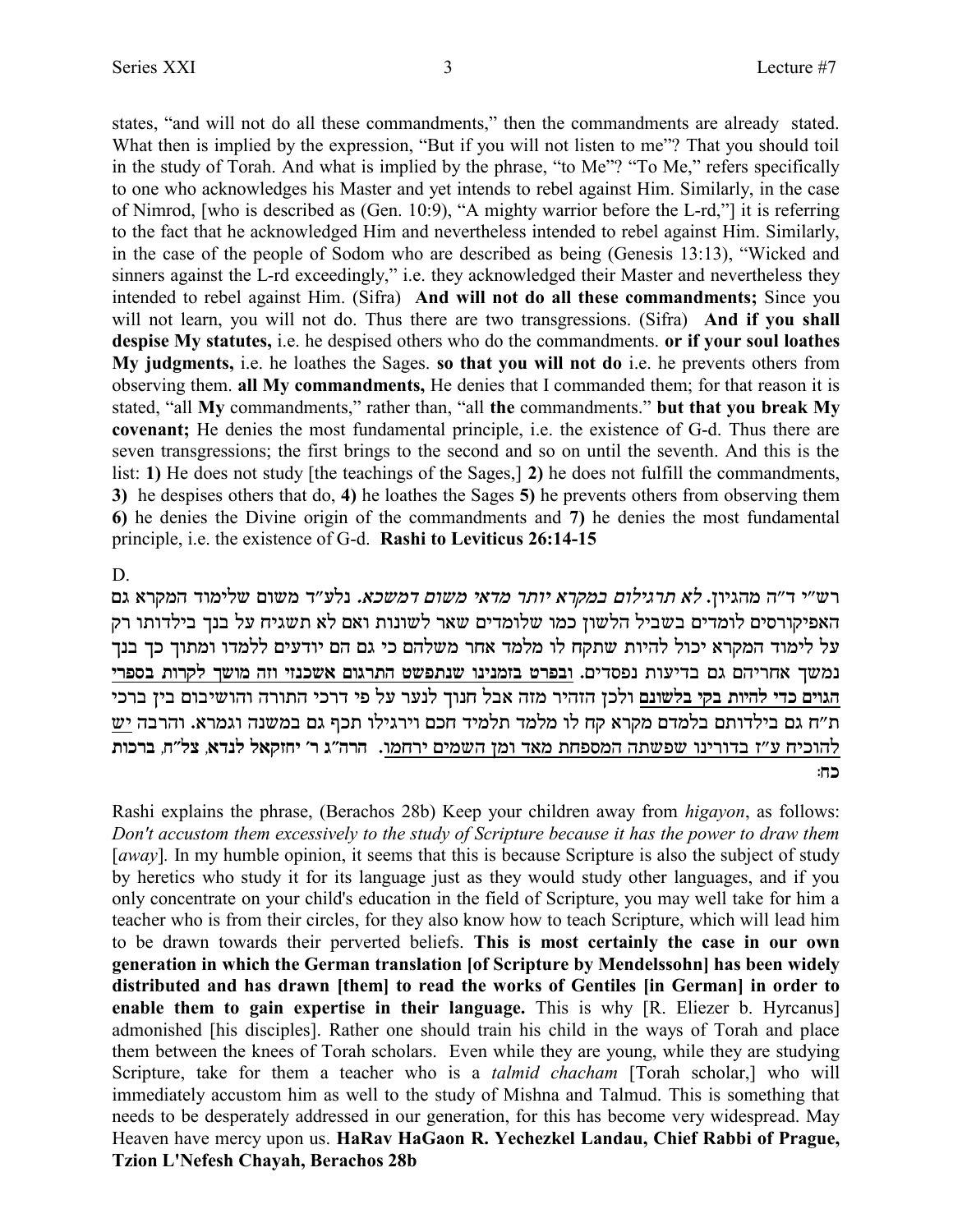states, "and will not do all these commandments," then the commandments are already stated. What then is implied by the expression, "But if you will not listen to me"? That you should toil in the study of Torah. And what is implied by the phrase, "to Me"? "To Me," refers specifically to one who acknowledges his Master and yet intends to rebel against Him. Similarly, in the case of Nimrod, [who is described as (Gen. 10:9), "A mighty warrior before the L-rd,"] it is referring to the fact that he acknowledged Him and nevertheless intended to rebel against Him. Similarly, in the case of the people of Sodom who are described as being (Genesis 13:13), "Wicked and sinners against the L-rd exceedingly," i.e. they acknowledged their Master and nevertheless they intended to rebel against Him. (Sifra) **And will not do all these commandments;** Since you will not learn, you will not do. Thus there are two transgressions. (Sifra) **And if you shall despise My statutes,** i.e. he despised others who do the commandments. **or if your soul loathes My judgments,** i.e. he loathes the Sages. **so that you will not do** i.e. he prevents others from observing them. **all My commandments,** He denies that I commanded them; for that reason it is stated, "all **My** commandments," rather than, "all **the** commandments." **but that you break My covenant;** He denies the most fundamental principle, i.e. the existence of G-d. Thus there are seven transgressions; the first brings to the second and so on until the seventh. And this is the list: **1)** He does not study [the teachings of the Sages,] **2)** he does not fulfill the commandments, **3)** he despises others that do, **4)** he loathes the Sages **5)** he prevents others from observing them **6)** he denies the Divine origin of the commandments and **7)** he denies the most fundamental principle, i.e. the existence of G-d. **Rashi to Leviticus 26:14-15**

#### D.

mb `xwnd cenily meyn c"rlp *.`kync meyn i`cn xzei `xwna melibxz `l* .oeibdn d"c i"yx האפיקורסים לומדים בשביל הלשון כמו שלומדים שאר לשונות ואם לא תשגיח על בנך בילדותו רק על לימוד המקרא יכול להיות שתקח לו מלמד אחר משלהם כי גם הם יודעים ללמדו ומתוך כך בנך **ixtqa zexwl jyen dfe ifpky` mebxzd hytzpy epipnfa hxtae** .micqtp zerica mb mdixg` jynp ikxa oia meaiyede dxezd ikxc it lr xrpl jepg la` dfn xidfd okle **mpeyla iwa zeidl ick miebd** ת״ח גם בילדותם בלמדם מקרא קח לו מלמד תלמיד חכם וירגילו תכף גם במשנה וגמרא. והרבה יש **zekxa ,g"lv ,`cpl l`wfgi 'x b"dxd** .engxi minyd one c`n zgtqnd dzyty epixeca f"r gikedl :כה

Rashi explains the phrase, (Berachos 28b) Keep your children away from *higayon*, as follows: *Don't accustom them excessively to the study of Scripture because it has the power to draw them* [*away*]. In my humble opinion, it seems that this is because Scripture is also the subject of study by heretics who study it for its language just as they would study other languages, and if you only concentrate on your child's education in the field of Scripture, you may well take for him a teacher who is from their circles, for they also know how to teach Scripture, which will lead him to be drawn towards their perverted beliefs. **This is most certainly the case in our own generation in which the German translation [of Scripture by Mendelssohn] has been widely distributed and has drawn [them] to read the works of Gentiles [in German] in order to enable them to gain expertise in their language.** This is why [R. Eliezer b. Hyrcanus] admonished [his disciples]. Rather one should train his child in the ways of Torah and place them between the knees of Torah scholars. Even while they are young, while they are studying Scripture, take for them a teacher who is a *talmid chacham* [Torah scholar,] who will immediately accustom him as well to the study of Mishna and Talmud. This is something that needs to be desperately addressed in our generation, for this has become very widespread. May Heaven have mercy upon us. **HaRav HaGaon R. Yechezkel Landau, Chief Rabbi of Prague, Tzion L'Nefesh Chayah, Berachos 28b**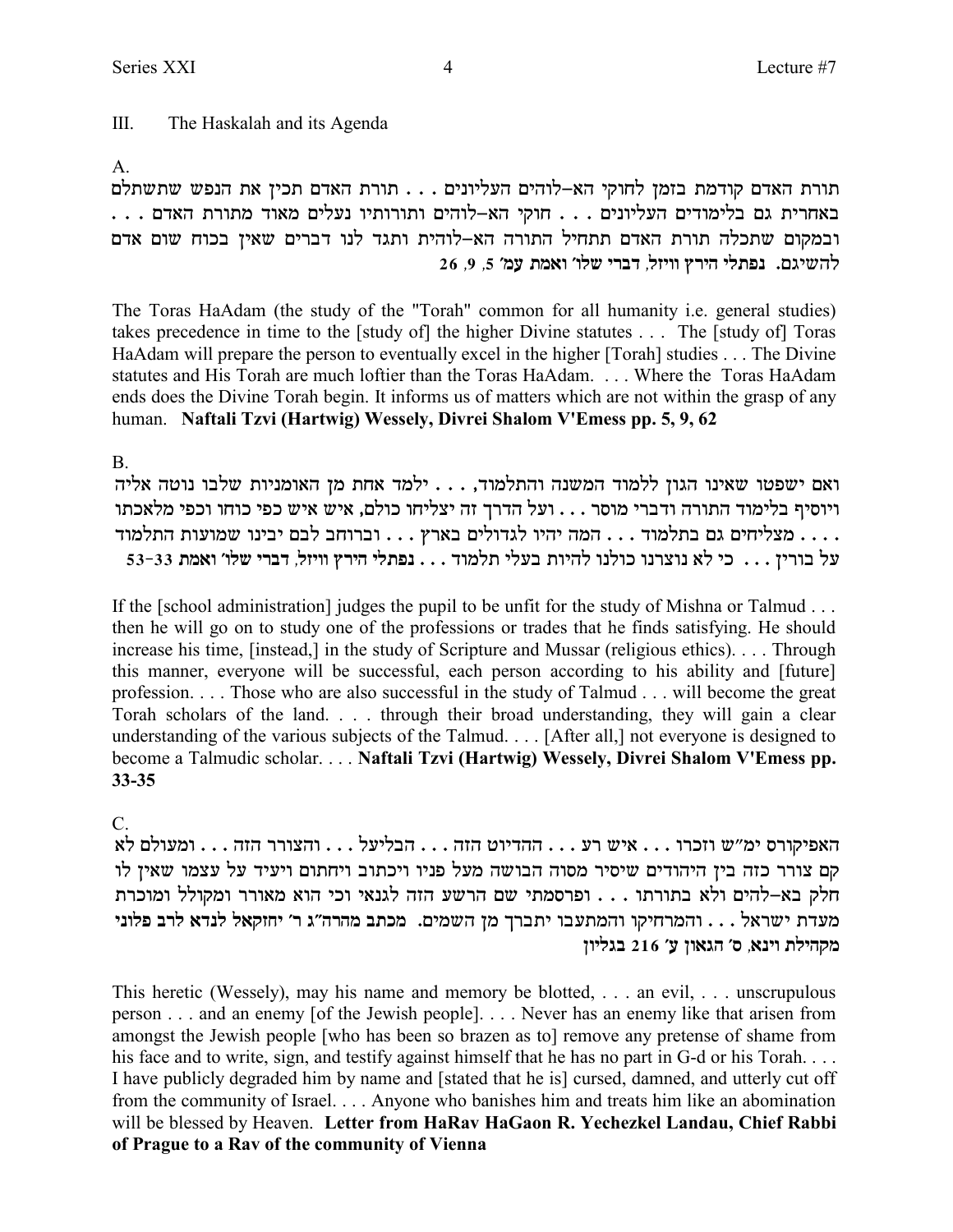#### III. The Haskalah and its Agenda

#### A.

תורת האדם קודמת בזמן לחוקי הא-לוהים העליונים . . . תורת האדם תכין את הנפש שתשתלם . . . באחרית גם בלימודים העליונים . . . חוקי הא-לוהים ותורותיו נעלים מאוד מתורת האדם ובמקום שתכלה תורת האדם תתחיל התורה הא-לוהית ותגד לנו דברים שאין בכוח שום אדם **26 ,9 ,5 'nr zn`e 'ely ixac ,lfiee uxid ilztp** .mbiydl

The Toras HaAdam (the study of the "Torah" common for all humanity i.e. general studies) takes precedence in time to the [study of] the higher Divine statutes . . . The [study of] Toras HaAdam will prepare the person to eventually excel in the higher [Torah] studies . . . The Divine statutes and His Torah are much loftier than the Toras HaAdam. . . . Where the Toras HaAdam ends does the Divine Torah begin. It informs us of matters which are not within the grasp of any human. **Naftali Tzvi (Hartwig) Wessely, Divrei Shalom V'Emess pp. 5, 9, 62**

B.

ואם ישפטו שאינו הגון ללמוד המשנה והתלמוד, . . . ילמד אחת מן האומניות שלבו נוטה אליה ויוסיף בלימוד התורה ודברי מוסר . . . ועל הדרך זה יצליחו כולם, איש איש כפי כוחו וכפי מלאכתו כאבליחים גם בתלמוד . . . המה יהיו לגדולים בארץ . . . וברוחב לבם יבינו שמועות התלמוד . . . . . . . . . . . . . . **53-33 zn`e 'ely ixac ,lfiee uxid ilztp** . . . cenlz ilra zeidl eplek epxvep `l ik . . . oixea lr

If the [school administration] judges the pupil to be unfit for the study of Mishna or Talmud . . . then he will go on to study one of the professions or trades that he finds satisfying. He should increase his time, [instead,] in the study of Scripture and Mussar (religious ethics). . . . Through this manner, everyone will be successful, each person according to his ability and [future] profession. . . . Those who are also successful in the study of Talmud . . . will become the great Torah scholars of the land. . . . through their broad understanding, they will gain a clear understanding of the various subjects of the Talmud. . . . [After all,] not everyone is designed to become a Talmudic scholar. . . . **Naftali Tzvi (Hartwig) Wessely, Divrei Shalom V'Emess pp. 33-35**

C.

 $\ldots$ ות . . . האפיקורס ימ"ש וזכרו . . . איש רע $\ldots$  . ההדיוט הזה . . . הבליעל קם צורר כזה בין היהודים שיסיר מסוה הבושה מעל פניו ויכתוב ויחתום ויעיד על עצמו שאין לו חלק בא-להים ולא בתורתו . . . ופרסמתי שם הרשע הזה לגנאי וכי הוא מאורר ומקולל ומוכרת **ipelt axl `cpl l`wfgi 'x b"dxdn azkn** .minyd on jxazi earznde ewigxnde . . . l`xyi zcrn **oeilba 216 'r oe`bd 'q ,`pie zlidwn**

This heretic (Wessely), may his name and memory be blotted, . . . an evil, . . . unscrupulous person . . . and an enemy [of the Jewish people]. . . . Never has an enemy like that arisen from amongst the Jewish people [who has been so brazen as to] remove any pretense of shame from his face and to write, sign, and testify against himself that he has no part in G-d or his Torah. . . . I have publicly degraded him by name and [stated that he is] cursed, damned, and utterly cut off from the community of Israel. . . . Anyone who banishes him and treats him like an abomination will be blessed by Heaven. **Letter from HaRav HaGaon R. Yechezkel Landau, Chief Rabbi of Prague to a Rav of the community of Vienna**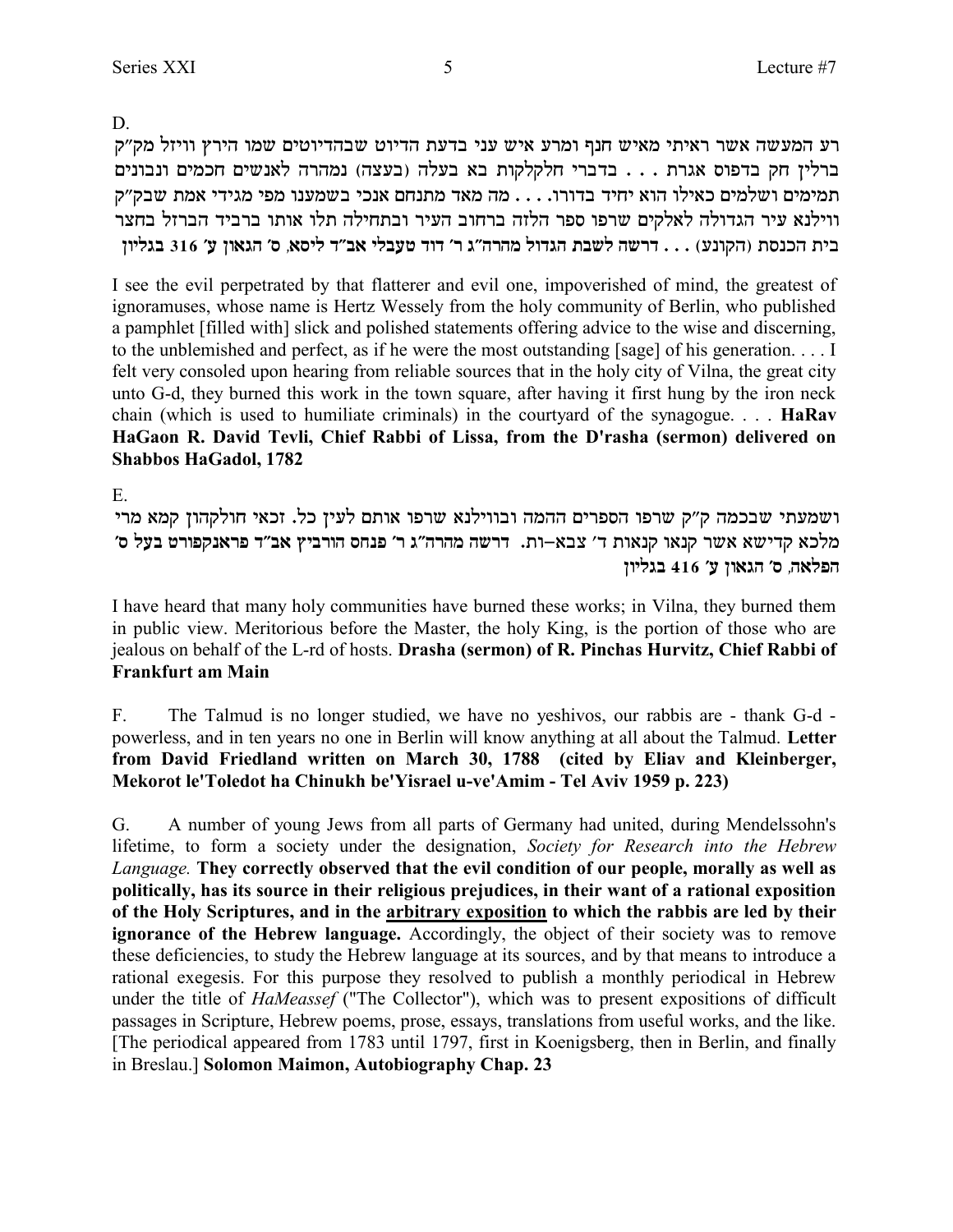D.

רע המעשה אשר ראיתי מאיש חנף ומרע איש עני בדעת הדיוט שבהדיוטים שמו הירץ וויזל מק״ק ברלין חק בדפוס אגרת . . . בדברי חלקלקות בא בעלה (בעצה) נמהרה לאנשים חכמים ונבונים תמימים ושלמים כאילו הוא יחיד בדורו. . . . מה מאד מתנחם אנכי בשמענו מפי מגידי אמת שבק״ק ווילנא עיר הגדולה לאלקים שרפו ספר הלזה ברחוב העיר ובתחילה תלו אותו ברביד הברזל בחצר בית הכנסת (הקונע) . . . דרשה לשבת הגדול מהרה"ג ר' דוד טעבלי אב"ד ליסא, ס' הגאון ע' 316 בגליון

I see the evil perpetrated by that flatterer and evil one, impoverished of mind, the greatest of ignoramuses, whose name is Hertz Wessely from the holy community of Berlin, who published a pamphlet [filled with] slick and polished statements offering advice to the wise and discerning. to the unblemished and perfect, as if he were the most outstanding [sage] of his generation.... I felt very consoled upon hearing from reliable sources that in the holy city of Vilna, the great city unto G-d, they burned this work in the town square, after having it first hung by the iron neck chain (which is used to humiliate criminals) in the courty and of the synagogue....  $HaRav$ HaGaon R. David Tevli, Chief Rabbi of Lissa, from the D'rasha (sermon) delivered on **Shabbos HaGadol, 1782** 

Е.

ושמעתי שבכמה ק"ק שרפו הספרים ההמה ובווילנא שרפו אותם לעין כל. זכאי חולקהון קמא מרי מלכא קדישא אשר קנאו קנאות ד' צבא–ות. דרשה מהרה"ג ר' פנחס הורביץ אב"ד פראנקפורט בעל ס' הפלאה. ס׳ הגאוז ע׳ 416 בגליוז

I have heard that many holy communities have burned these works; in Vilna, they burned them in public view. Meritorious before the Master, the holy King, is the portion of those who are jealous on behalf of the L-rd of hosts. Drasha (sermon) of R. Pinchas Hurvitz, Chief Rabbi of **Frankfurt am Main** 

 $F_{\perp}$ The Talmud is no longer studied, we have no yeshivos, our rabbis are - thank G-d powerless, and in ten years no one in Berlin will know anything at all about the Talmud. Letter from David Friedland written on March 30, 1788 (cited by Eliav and Kleinberger, Mekorot le'Toledot ha Chinukh be'Yisrael u-ve'Amim - Tel Aviv 1959 p. 223)

A number of young Jews from all parts of Germany had united, during Mendelssohn's G. lifetime, to form a society under the designation, Society for Research into the Hebrew Language. They correctly observed that the evil condition of our people, morally as well as politically, has its source in their religious prejudices, in their want of a rational exposition of the Holy Scriptures, and in the arbitrary exposition to which the rabbis are led by their **ignorance of the Hebrew language.** Accordingly, the object of their society was to remove these deficiencies, to study the Hebrew language at its sources, and by that means to introduce a rational exegesis. For this purpose they resolved to publish a monthly periodical in Hebrew under the title of *HaMeassef* ("The Collector"), which was to present expositions of difficult passages in Scripture, Hebrew poems, prose, essays, translations from useful works, and the like. [The periodical appeared from 1783 until 1797, first in Koenigsberg, then in Berlin, and finally in Breslau.] Solomon Maimon, Autobiography Chap. 23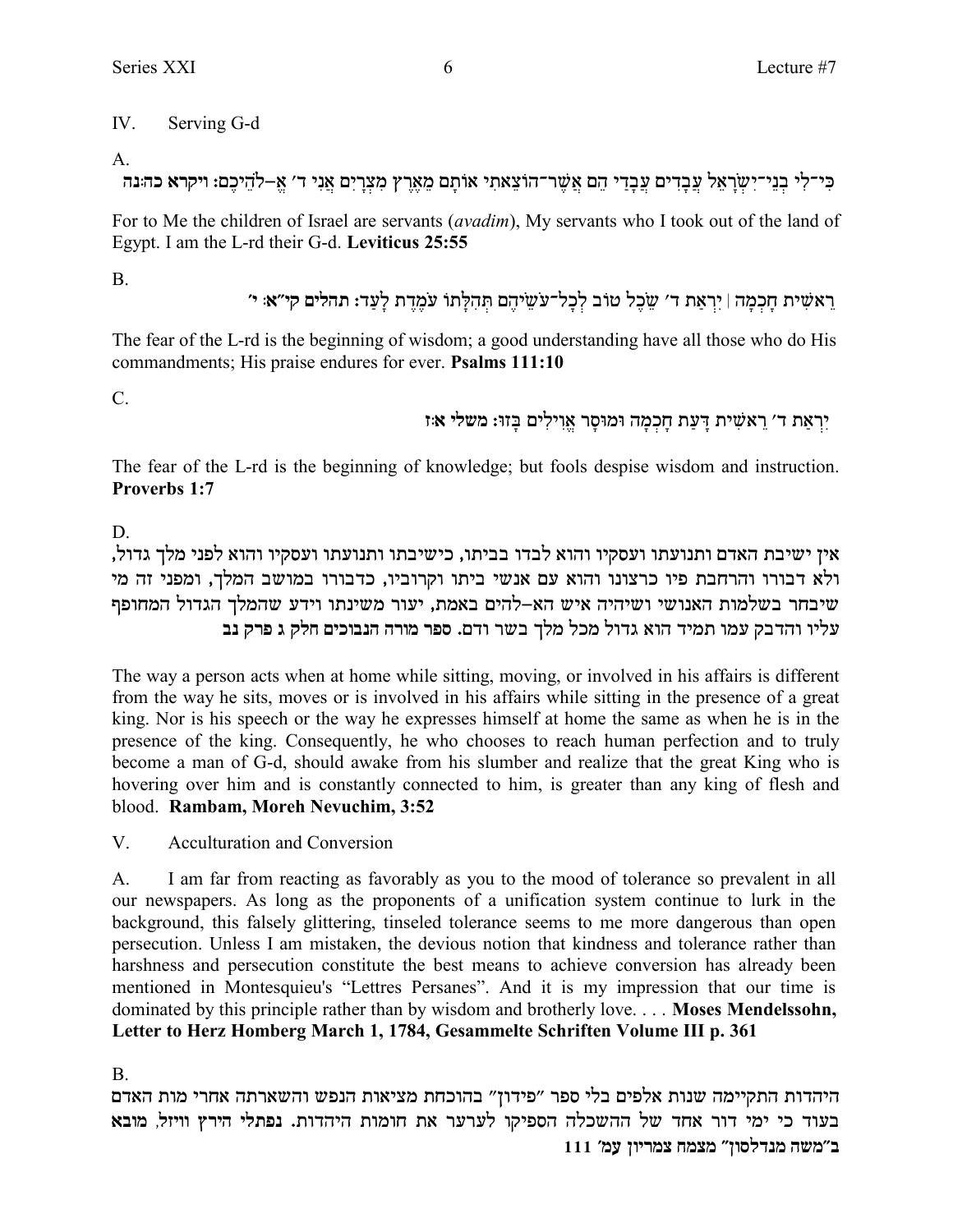#### $\overline{N}$ Serving G-d

## $A<sub>1</sub>$

כִּי־לִי בְנֵי־יִשְׂרָאֱל עֲבָדִים עֲבָדֵי הֶם אֲשֶׁר־הוֹצָאתי אוֹתַם מֵאֶרֶץ מִצְרֵיִם אֲנִי ד׳ אֱ–לֹהֶיכֶם: ויקרא כהּ:נה

For to Me the children of Israel are servants (avadim), My servants who I took out of the land of Egypt. I am the L-rd their G-d. Leviticus 25:55

 $\overline{B}$ 

רַאשִׁית חַכְמַה | יִרְאַת ד׳ שֶׂכֵל טוֹב לְכָל־עֹשֵׂיהֶם תִּהְלַתוֹ עֹמֶדֶת לַעֲד: תהלים קי״א: י׳

The fear of the L-rd is the beginning of wisdom; a good understanding have all those who do His commandments; His praise endures for ever. Psalms 111:10

 $C_{\cdot}$ 

יראת ד' ראשית דעת חכמה ומוסר אוילים בזו: משלי אז

The fear of the L-rd is the beginning of knowledge; but fools despise wisdom and instruction. Proverbs 1:7

# D.

אין ישיבת האדם ותנועתו ועסקיו והוא לבדו בביתו, כישיבתו ותנועתו ועסקיו והוא לפני מלך גדול, ולא דבורו והרחבת פיו כרצונו והוא עם אנשי ביתו וקרוביו, כדבורו במושב המלך, ומפני זה מי שיבחר בשלמות האנושי ושיהיה איש הא-להים באמת, יעור משינתו וידע שהמלך הגדול המחופף עליו והדבק עמו תמיד הוא גדול מכל מלך בשר ודם. ספר מורה הנבוכים חלק ג פרק נב

The way a person acts when at home while sitting, moving, or involved in his affairs is different from the way he sits, moves or is involved in his affairs while sitting in the presence of a great king. Nor is his speech or the way he expresses himself at home the same as when he is in the presence of the king. Consequently, he who chooses to reach human perfection and to truly become a man of G-d, should awake from his slumber and realize that the great King who is hovering over him and is constantly connected to him, is greater than any king of flesh and blood. Rambam, Moreh Nevuchim, 3:52

Acculturation and Conversion  $V_{\parallel}$ 

 $A_{1}$ I am far from reacting as favorably as you to the mood of tolerance so prevalent in all our newspapers. As long as the proponents of a unification system continue to lurk in the background, this falsely glittering, tinseled tolerance seems to me more dangerous than open persecution. Unless I am mistaken, the devious notion that kindness and tolerance rather than harshness and persecution constitute the best means to achieve conversion has already been mentioned in Montesquieu's "Lettres Persanes". And it is my impression that our time is dominated by this principle rather than by wisdom and brotherly love.... Moses Mendelssohn, Letter to Herz Homberg March 1, 1784, Gesammelte Schriften Volume III p. 361

 $B<sub>1</sub>$ 

היהדות התקיימה שנות אלפים בלי ספר "פידון" בהוכחת מציאות הנפש והשארתה אחרי מות האדם בעוד כי ימי דור אחד של ההשכלה הספיקו לערער את חומות היהדות. נפתלי הירץ וויזל, מובא ב״משה מנדלסון״ מצמח צמריון עמ׳ 111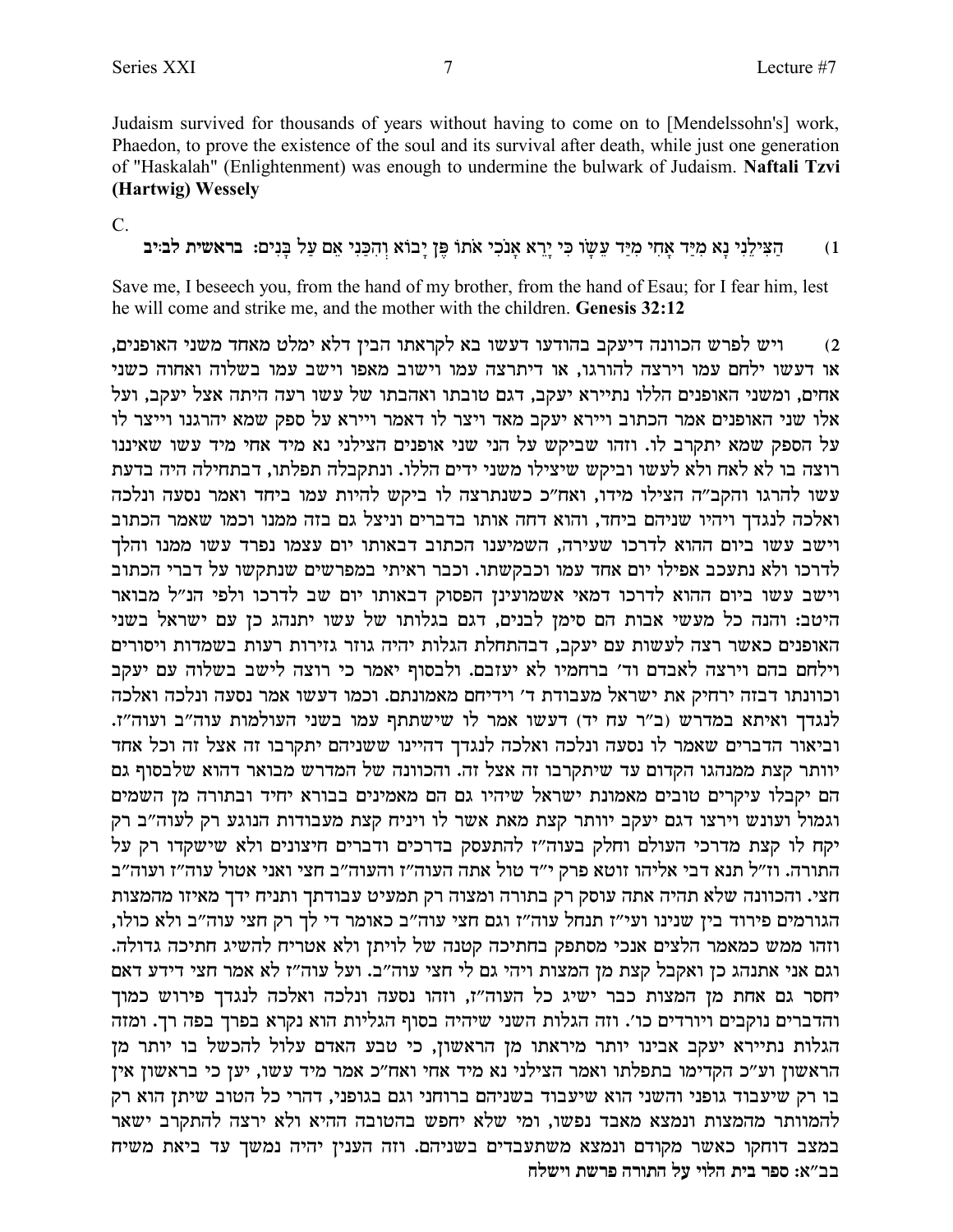Judaism survived for thousands of years without having to come on to [Mendelssohn's] work, Phaedon, to prove the existence of the soul and its survival after death, while just one generation of "Haskalah" (Enlightenment) was enough to undermine the bulwark of Judaism. Naftali Tzvi (Hartwig) Wesselv

 $C_{\cdot}$ 

הַצִּילֵנִי נָא מְיַּד אָחִי מְיַד עֵשׂו כִּי יַרֵא אַנֹכִי אֹתוֹ פֵּן יָבוֹא וְהִכָּנִי אֵם עַל בָּנִים: בראשית לבויב  $(1)$ 

Save me, I beseech you, from the hand of my brother, from the hand of Esau; for I fear him, lest he will come and strike me, and the mother with the children. Genesis 32:12

ויש לפרש הכוונה דיעקב בהודעו דעשו בא לקראתו הבין דלא ימלט מאחד משני האופנים,  $(2)$ או דעשו ילחם עמו וירצה להורגו, או דיתרצה עמו וישוב מאפו וישב עמו בשלוה ואחוה כשני אחים, ומשני האופנים הללו נתיירא יעקב, דגם טובתו ואהבתו של עשו רעה היתה אצל יעקב, ועל אלו שני האופנים אמר הכתוב ויירא יעקב מאד ויצר לו דאמר ויירא על ספק שמא יהרגנו וייצר לו על הספק שמא יתקרב לו. וזהו שביקש על הני שני אופנים הצילני נא מיד אחי מיד עשו שאיננו רוצה בו לא לאח ולא לעשו וביקש שיצילו משני ידים הללו. ונתקבלה תפלתו, דבתחילה היה בדעת עשו להרגו והקב"ה הצילו מידו, ואח"כ כשנתרצה לו ביקש להיות עמו ביחד ואמר נסעה ונלכה ואלכה לנגדך ויהיו שניהם ביחד, והוא דחה אותו בדברים וניצל גם בזה ממנו וכמו שאמר הכתוב וישב עשו ביום ההוא לדרכו שעירה, השמיענו הכתוב דבאותו יום עצמו נפרד עשו ממנו והלך .<br>לדרכו ולא נתעכב אפילו יום אחד עמו וכבקשתו. וכבר ראיתי במפרשים שנתקשו על דברי הכתוב וישב עשו ביום ההוא לדרכו דמאי אשמועינן הפסוק דבאותו יום שב לדרכו ולפי הנ"ל מבואר היטב: והנה כל מעשי אבות הם סימן לבנים, דגם בגלותו של עשו יתנהג כן עם ישראל בשני האופנים כאשר רצה לעשות עם יעקב, דבהתחלת הגלות יהיה גוזר גזירות רעות בשמדות ויסורים וילחם בהם וירצה לאבדם וד׳ ברחמיו לא יעזבם. ולבסוף יאמר כי רוצה לישב בשלוה עם יעקב וכוונתו דבזה ירחיק את ישראל מעבודת ד׳ וידיחם מאמונתם. וכמו דעשו אמר נסעה ונלכה ואלכה לנגדך ואיתא במדרש (ב"ר עח יד) דעשו אמר לו שישתתף עמו בשני העולמות עוה"ב ועוה"ז. וביאור הדברים שאמר לו נסעה ונלכה ואלכה לנגדך דהיינו ששניהם יתקרבו זה אצל זה וכל אחד יוותר קצת ממנהגו הקדום עד שיתקרבו זה אצל זה. והכוונה של המדרש מבואר דהוא שלבסוף גם הם יקבלו עיקרים טובים מאמונת ישראל שיהיו גם הם מאמינים בבורא יחיד ובתורה מן השמים וגמול ועונש וירצו דגם יעקב יוותר קצת מאת אשר לו ויניח קצת מעבודות הנוגע רק לעוה"ב רק יקח לו קצת מדרכי העולם וחלק בעוה"ז להתעסק בדרכים ודברים חיצונים ולא שישקדו רק על התורה. וז"ל תנא דבי אליהו זוטא פרק י"ד טול אתה העוה"ז והעוה"ב חצי ואני אטול עוה"ז ועוה"ב חצי. והכוונה שלא תהיה אתה עוסק רק בתורה ומצוה רק תמעיט עבודתך ותניח ידך מאיזו מהמצות הגורמים פירוד בין שנינו ועי"ז תנחל עוה"ז וגם חצי עוה"ב כאומר די לך רק חצי עוה"ב ולא כולו, וזהו ממש כמאמר הלצים אנכי מסתפק בחתיכה קטנה של לויתן ולא אטריח להשיג חתיכה גדולה. וגם אני אתנהג כן ואקבל קצת מן המצות ויהי גם לי חצי עוה"ב. ועל עוה"ז לא אמר חצי דידע דאם יחסר גם אחת מן המצות כבר ישיג כל העוה"ז, וזהו נסעה ונלכה ואלכה לנגדך פירוש כמוך והדברים נוקבים ויורדים כו׳. וזה הגלות השני שיהיה בסוף הגליות הוא נקרא בפרך בפה רך. ומזה הגלות נתיירא יעקב אבינו יותר מיראתו מן הראשון, כי טבע האדם עלול להכשל בו יותר מן .<br>הראשון וע״כ הקדימו בתפלתו ואמר הצילני נא מיד אחי ואח״כ אמר מיד עשו, יען כי בראשון אין בו רק שיעבוד גופני והשני הוא שיעבוד בשניהם ברוחני וגם בגופני, דהרי כל הטוב שיתן הוא רק להמוותר מהמצות ונמצא מאבד נפשו, ומי שלא יחפש בהטובה ההיא ולא ירצה להתקרב ישאר .<br>במצב דוחקו כאשר מקודם ונמצא משתעבדים בשניהם. וזה הענין יהיה נמשך עד ביאת משיח בב״א: ספר בית הלוי על התורה פרשת וישלח

 $\overline{7}$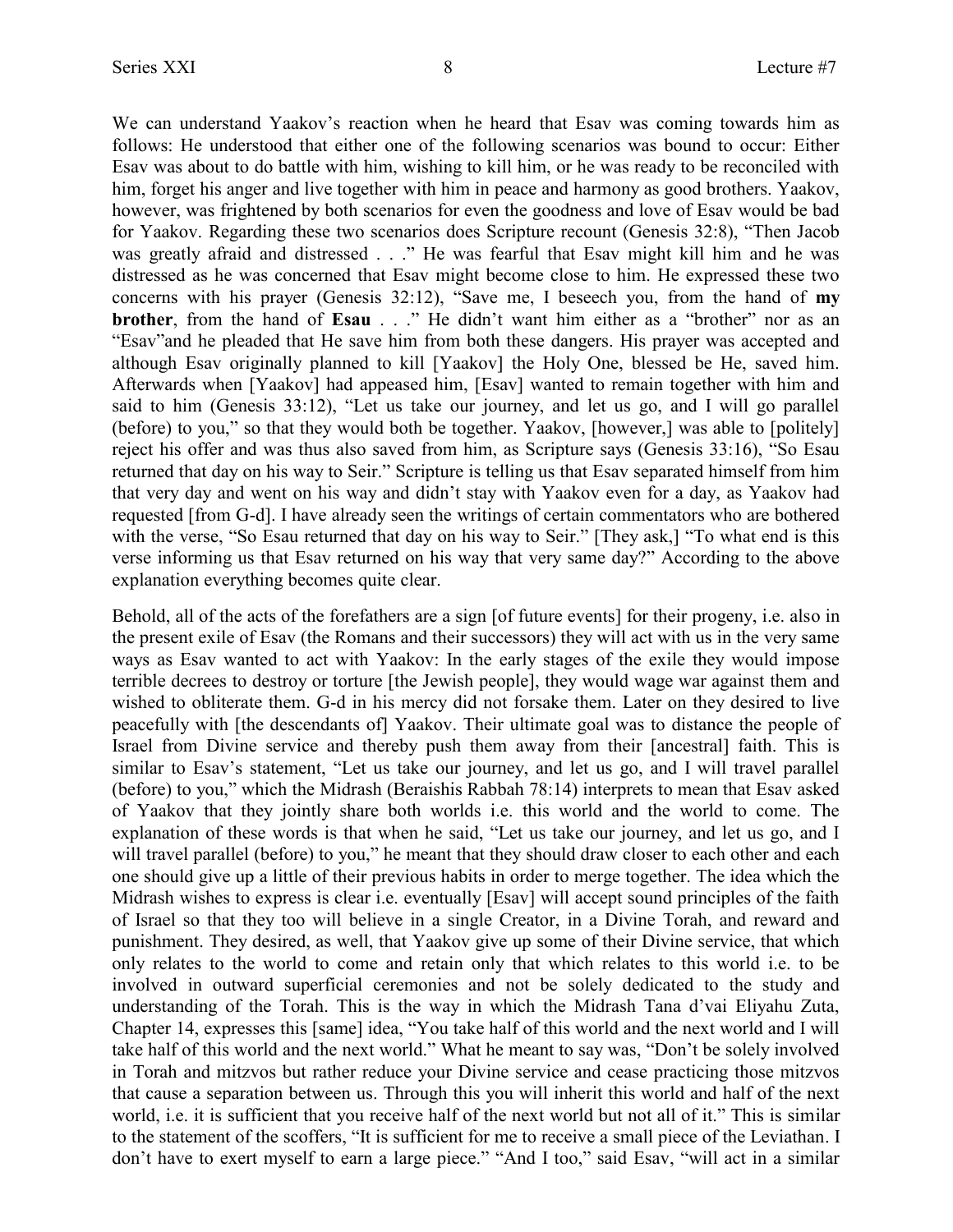We can understand Yaakov's reaction when he heard that Esav was coming towards him as follows: He understood that either one of the following scenarios was bound to occur: Either Esav was about to do battle with him, wishing to kill him, or he was ready to be reconciled with him, forget his anger and live together with him in peace and harmony as good brothers. Yaakov, however, was frightened by both scenarios for even the goodness and love of Esav would be bad for Yaakov. Regarding these two scenarios does Scripture recount (Genesis 32:8), "Then Jacob was greatly afraid and distressed . . ." He was fearful that Esav might kill him and he was distressed as he was concerned that Esav might become close to him. He expressed these two concerns with his prayer (Genesis 32:12), "Save me, I beseech you, from the hand of **my brother**, from the hand of **Esau** . . ." He didn't want him either as a "brother" nor as an "Esav"and he pleaded that He save him from both these dangers. His prayer was accepted and although Esav originally planned to kill [Yaakov] the Holy One, blessed be He, saved him. Afterwards when [Yaakov] had appeased him, [Esav] wanted to remain together with him and said to him (Genesis 33:12), "Let us take our journey, and let us go, and I will go parallel (before) to you," so that they would both be together. Yaakov, [however,] was able to [politely] reject his offer and was thus also saved from him, as Scripture says (Genesis 33:16), "So Esau returned that day on his way to Seir." Scripture is telling us that Esav separated himself from him that very day and went on his way and didn't stay with Yaakov even for a day, as Yaakov had requested [from G-d]. I have already seen the writings of certain commentators who are bothered with the verse, "So Esau returned that day on his way to Seir." [They ask,] "To what end is this verse informing us that Esav returned on his way that very same day?" According to the above explanation everything becomes quite clear.

Behold, all of the acts of the forefathers are a sign [of future events] for their progeny, i.e. also in the present exile of Esav (the Romans and their successors) they will act with us in the very same ways as Esav wanted to act with Yaakov: In the early stages of the exile they would impose terrible decrees to destroy or torture [the Jewish people], they would wage war against them and wished to obliterate them. G-d in his mercy did not forsake them. Later on they desired to live peacefully with [the descendants of] Yaakov. Their ultimate goal was to distance the people of Israel from Divine service and thereby push them away from their [ancestral] faith. This is similar to Esav's statement, "Let us take our journey, and let us go, and I will travel parallel (before) to you," which the Midrash (Beraishis Rabbah 78:14) interprets to mean that Esav asked of Yaakov that they jointly share both worlds i.e. this world and the world to come. The explanation of these words is that when he said, "Let us take our journey, and let us go, and I will travel parallel (before) to you," he meant that they should draw closer to each other and each one should give up a little of their previous habits in order to merge together. The idea which the Midrash wishes to express is clear i.e. eventually [Esav] will accept sound principles of the faith of Israel so that they too will believe in a single Creator, in a Divine Torah, and reward and punishment. They desired, as well, that Yaakov give up some of their Divine service, that which only relates to the world to come and retain only that which relates to this world i.e. to be involved in outward superficial ceremonies and not be solely dedicated to the study and understanding of the Torah. This is the way in which the Midrash Tana d'vai Eliyahu Zuta, Chapter 14, expresses this [same] idea, "You take half of this world and the next world and I will take half of this world and the next world." What he meant to say was, "Don't be solely involved in Torah and mitzvos but rather reduce your Divine service and cease practicing those mitzvos that cause a separation between us. Through this you will inherit this world and half of the next world, i.e. it is sufficient that you receive half of the next world but not all of it." This is similar to the statement of the scoffers, "It is sufficient for me to receive a small piece of the Leviathan. I don't have to exert myself to earn a large piece." "And I too," said Esav, "will act in a similar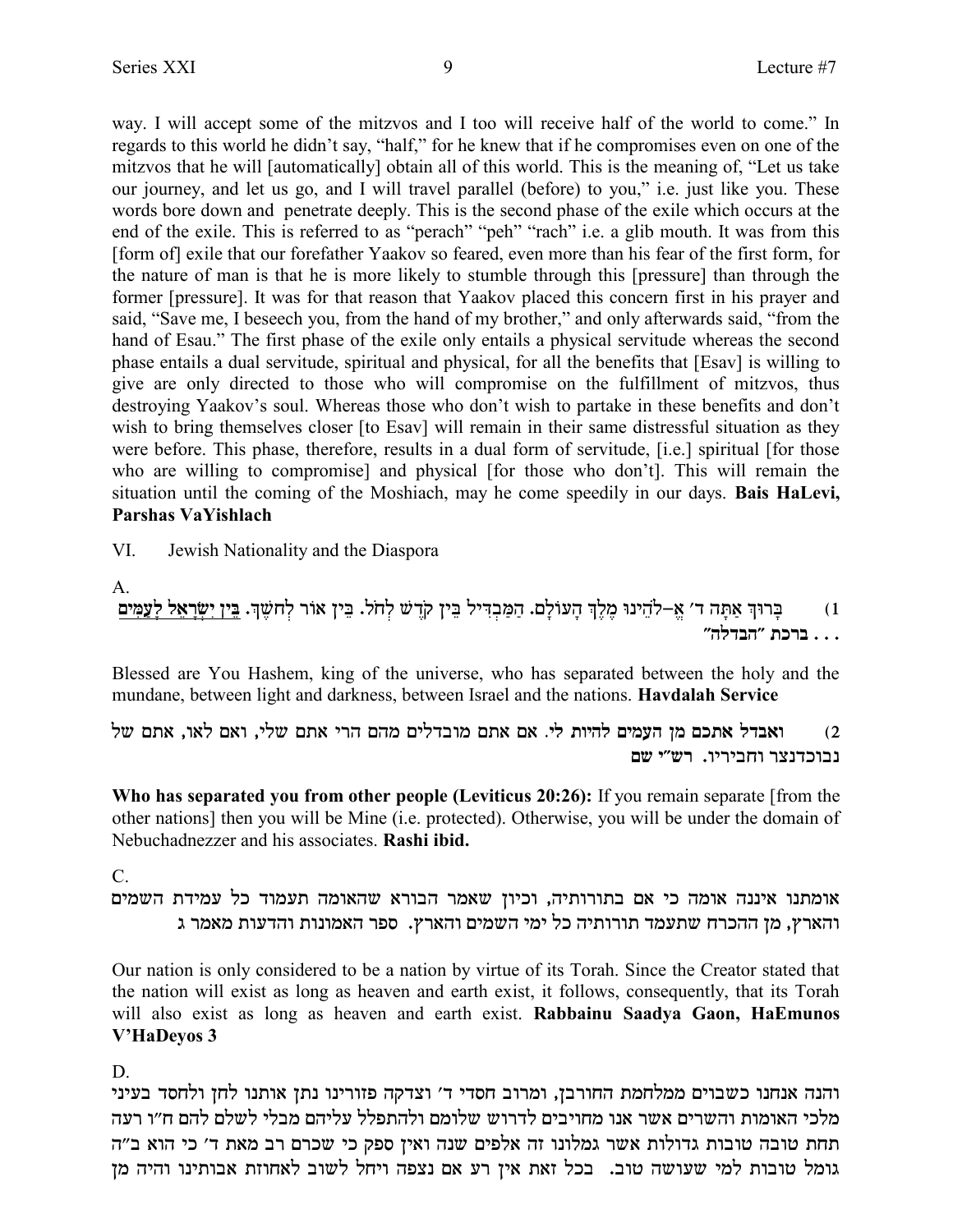way. I will accept some of the mitzvos and I too will receive half of the world to come." In regards to this world he didn't say, "half," for he knew that if he compromises even on one of the mitzvos that he will [automatically] obtain all of this world. This is the meaning of, "Let us take our journey, and let us go, and I will travel parallel (before) to you," i.e. just like you. These words bore down and penetrate deeply. This is the second phase of the exile which occurs at the end of the exile. This is referred to as "perach" "peh" "rach" i.e. a glib mouth. It was from this [form of] exile that our forefather Yaakov so feared, even more than his fear of the first form, for the nature of man is that he is more likely to stumble through this [pressure] than through the former [pressure]. It was for that reason that Yaakov placed this concern first in his prayer and said, "Save me, I beseech you, from the hand of my brother," and only afterwards said, "from the hand of Esau." The first phase of the exile only entails a physical servitude whereas the second phase entails a dual servitude, spiritual and physical, for all the benefits that [Esav] is willing to give are only directed to those who will compromise on the fulfillment of mitzvos, thus destroying Yaakov's soul. Whereas those who don't wish to partake in these benefits and don't wish to bring themselves closer [to Esav] will remain in their same distressful situation as they were before. This phase, therefore, results in a dual form of servitude, [i.e.] spiritual [for those who are willing to compromise] and physical [for those who don't]. This will remain the situation until the coming of the Moshiach, may he come speedily in our days. **Bais HaLevi, Parshas VaYishlach**

VI. Jewish Nationality and the Diaspora

A.

**miO¦ r© l¨ l`¥ x¨U§ i¦ oiA¥** .KW¤ gl§ xF` oiA¥ .lŸgl§ Wc¤Ÿw oiA¥ liC¦a§ O© d© .ml¨Frd¨ Kl¤ n¤ Epid¥Ÿl-`¡ 'c dY¨ `© KExA¨ (1 **1. . . ברכת "הבדלה"** 

Blessed are You Hashem, king of the universe, who has separated between the holy and the mundane, between light and darkness, between Israel and the nations. **Havdalah Service**

ly mz` ,e`l m`e ,ily mz` ixd mdn milcaen mz` m` **.il zeidl minrd on mkz` lca`e** (2 **נבוכדנצר וחביריו. רש״י שם** 

**Who has separated you from other people (Leviticus 20:26):** If you remain separate [from the other nations] then you will be Mine (i.e. protected). Otherwise, you will be under the domain of Nebuchadnezzer and his associates. **Rashi ibid.**

 $\mathcal{C}$ 

אומתנו איננה אומה כי אם בתורותיה, וכיון שאמר הבורא שהאומה תעמוד כל עמידת השמים והארץ, מן ההכרח שתעמד תורותיה כל ימי השמים והארץ. ספר האמונות והדעות מאמר ג

Our nation is only considered to be a nation by virtue of its Torah. Since the Creator stated that the nation will exist as long as heaven and earth exist, it follows, consequently, that its Torah will also exist as long as heaven and earth exist. **Rabbainu Saadya Gaon, HaEmunos V'HaDeyos 3**

D.

והנה אנחנו כשבוים ממלחמת החורבן, ומרוב חסדי ד׳ וצדקה פזורינו נתן אותנו לחן ולחסד בעיני מלכי האומות והשרים אשר אנו מחויבים לדרוש שלומם ולהתפלל עליהם מבלי לשלם להם ח״ו רעה תחת טובה טובות גדולות אשר גמלונו זה אלפים שנה ואין ספק כי שכרם רב מאת ד' כי הוא ב"ה גומל טובות למי שעושה טוב. בכל זאת אין רע אם נצפה ויחל לשוב לאחוזת אבותינו והיה מן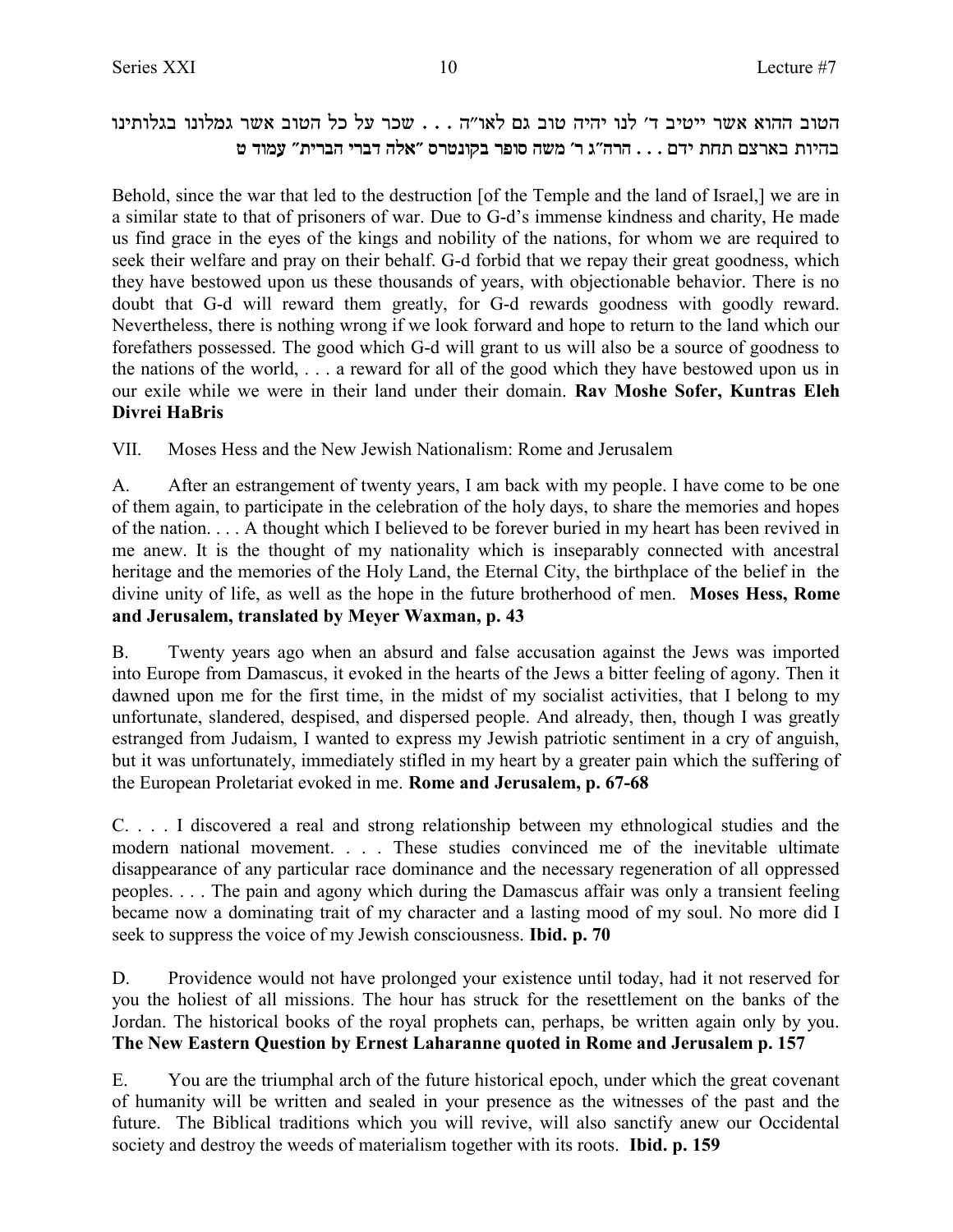# הטוב ההוא אשר ייטיב ד׳ לנו יהיה טוב גם לאו״ה . . . שכר על כל הטוב אשר גמלונו בגלותינו **h cenr "zixad ixac dl`" qxhpewa xteq dyn 'x b"dxd** . . . mci zgz mvx`a zeida

Behold, since the war that led to the destruction [of the Temple and the land of Israel,] we are in a similar state to that of prisoners of war. Due to G-d's immense kindness and charity, He made us find grace in the eyes of the kings and nobility of the nations, for whom we are required to seek their welfare and pray on their behalf. G-d forbid that we repay their great goodness, which they have bestowed upon us these thousands of years, with objectionable behavior. There is no doubt that G-d will reward them greatly, for G-d rewards goodness with goodly reward. Nevertheless, there is nothing wrong if we look forward and hope to return to the land which our forefathers possessed. The good which G-d will grant to us will also be a source of goodness to the nations of the world, . . . a reward for all of the good which they have bestowed upon us in our exile while we were in their land under their domain. **Rav Moshe Sofer, Kuntras Eleh Divrei HaBris**

VII. Moses Hess and the New Jewish Nationalism: Rome and Jerusalem

A. After an estrangement of twenty years, I am back with my people. I have come to be one of them again, to participate in the celebration of the holy days, to share the memories and hopes of the nation. . . . A thought which I believed to be forever buried in my heart has been revived in me anew. It is the thought of my nationality which is inseparably connected with ancestral heritage and the memories of the Holy Land, the Eternal City, the birthplace of the belief in the divine unity of life, as well as the hope in the future brotherhood of men. **Moses Hess, Rome and Jerusalem, translated by Meyer Waxman, p. 43**

B. Twenty years ago when an absurd and false accusation against the Jews was imported into Europe from Damascus, it evoked in the hearts of the Jews a bitter feeling of agony. Then it dawned upon me for the first time, in the midst of my socialist activities, that I belong to my unfortunate, slandered, despised, and dispersed people. And already, then, though I was greatly estranged from Judaism, I wanted to express my Jewish patriotic sentiment in a cry of anguish, but it was unfortunately, immediately stifled in my heart by a greater pain which the suffering of the European Proletariat evoked in me. **Rome and Jerusalem, p. 67-68**

C. . . . I discovered a real and strong relationship between my ethnological studies and the modern national movement. . . . These studies convinced me of the inevitable ultimate disappearance of any particular race dominance and the necessary regeneration of all oppressed peoples. . . . The pain and agony which during the Damascus affair was only a transient feeling became now a dominating trait of my character and a lasting mood of my soul. No more did I seek to suppress the voice of my Jewish consciousness. **Ibid. p. 70**

D. Providence would not have prolonged your existence until today, had it not reserved for you the holiest of all missions. The hour has struck for the resettlement on the banks of the Jordan. The historical books of the royal prophets can, perhaps, be written again only by you. **The New Eastern Question by Ernest Laharanne quoted in Rome and Jerusalem p. 157**

E. You are the triumphal arch of the future historical epoch, under which the great covenant of humanity will be written and sealed in your presence as the witnesses of the past and the future. The Biblical traditions which you will revive, will also sanctify anew our Occidental society and destroy the weeds of materialism together with its roots. **Ibid. p. 159**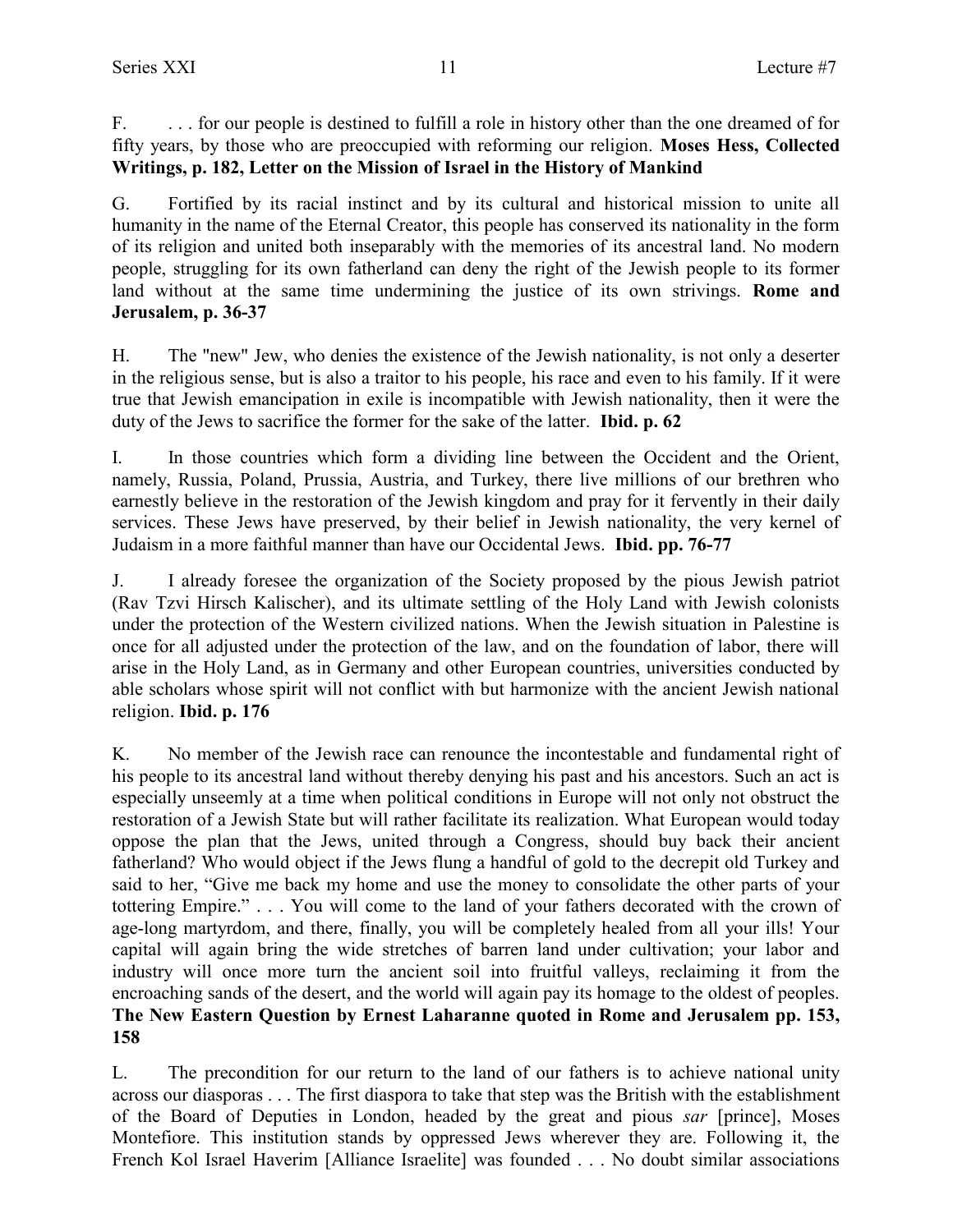F. . . . for our people is destined to fulfill a role in history other than the one dreamed of for fifty years, by those who are preoccupied with reforming our religion. **Moses Hess, Collected Writings, p. 182, Letter on the Mission of Israel in the History of Mankind** 

G. Fortified by its racial instinct and by its cultural and historical mission to unite all humanity in the name of the Eternal Creator, this people has conserved its nationality in the form of its religion and united both inseparably with the memories of its ancestral land. No modern people, struggling for its own fatherland can deny the right of the Jewish people to its former land without at the same time undermining the justice of its own strivings. **Rome and Jerusalem, p. 36-37**

H. The "new" Jew, who denies the existence of the Jewish nationality, is not only a deserter in the religious sense, but is also a traitor to his people, his race and even to his family. If it were true that Jewish emancipation in exile is incompatible with Jewish nationality, then it were the duty of the Jews to sacrifice the former for the sake of the latter. **Ibid. p. 62**

I. In those countries which form a dividing line between the Occident and the Orient, namely, Russia, Poland, Prussia, Austria, and Turkey, there live millions of our brethren who earnestly believe in the restoration of the Jewish kingdom and pray for it fervently in their daily services. These Jews have preserved, by their belief in Jewish nationality, the very kernel of Judaism in a more faithful manner than have our Occidental Jews. **Ibid. pp. 76-77**

J. I already foresee the organization of the Society proposed by the pious Jewish patriot (Rav Tzvi Hirsch Kalischer), and its ultimate settling of the Holy Land with Jewish colonists under the protection of the Western civilized nations. When the Jewish situation in Palestine is once for all adjusted under the protection of the law, and on the foundation of labor, there will arise in the Holy Land, as in Germany and other European countries, universities conducted by able scholars whose spirit will not conflict with but harmonize with the ancient Jewish national religion. **Ibid. p. 176**

K. No member of the Jewish race can renounce the incontestable and fundamental right of his people to its ancestral land without thereby denying his past and his ancestors. Such an act is especially unseemly at a time when political conditions in Europe will not only not obstruct the restoration of a Jewish State but will rather facilitate its realization. What European would today oppose the plan that the Jews, united through a Congress, should buy back their ancient fatherland? Who would object if the Jews flung a handful of gold to the decrepit old Turkey and said to her, "Give me back my home and use the money to consolidate the other parts of your tottering Empire." . . . You will come to the land of your fathers decorated with the crown of age-long martyrdom, and there, finally, you will be completely healed from all your ills! Your capital will again bring the wide stretches of barren land under cultivation; your labor and industry will once more turn the ancient soil into fruitful valleys, reclaiming it from the encroaching sands of the desert, and the world will again pay its homage to the oldest of peoples. **The New Eastern Question by Ernest Laharanne quoted in Rome and Jerusalem pp. 153, 158**

L. The precondition for our return to the land of our fathers is to achieve national unity across our diasporas . . . The first diaspora to take that step was the British with the establishment of the Board of Deputies in London, headed by the great and pious *sar* [prince], Moses Montefiore. This institution stands by oppressed Jews wherever they are. Following it, the French Kol Israel Haverim [Alliance Israelite] was founded . . . No doubt similar associations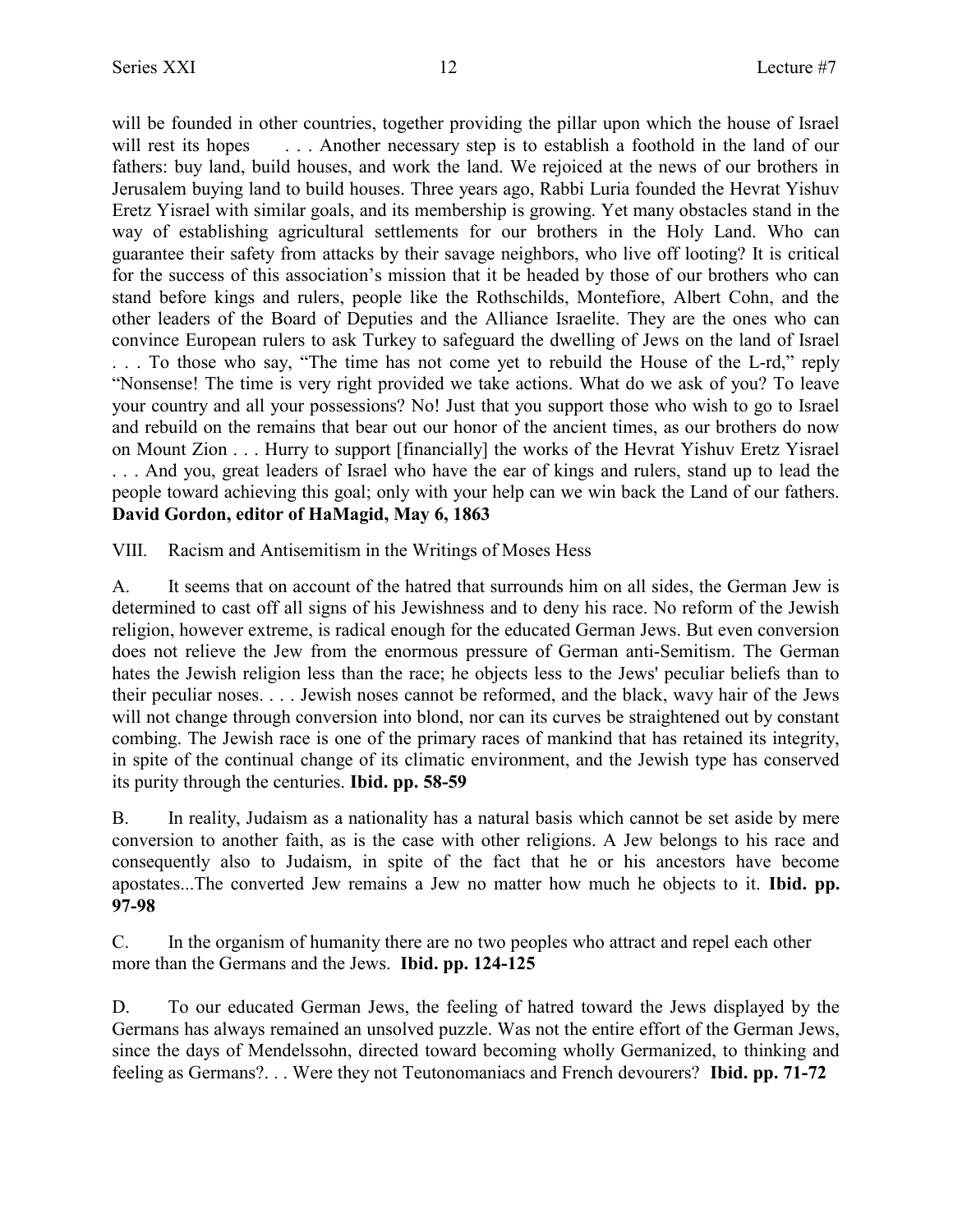will be founded in other countries, together providing the pillar upon which the house of Israel will rest its hopes . . . Another necessary step is to establish a foothold in the land of our fathers: buy land, build houses, and work the land. We rejoiced at the news of our brothers in Jerusalem buying land to build houses. Three years ago, Rabbi Luria founded the Hevrat Yishuv Eretz Yisrael with similar goals, and its membership is growing. Yet many obstacles stand in the way of establishing agricultural settlements for our brothers in the Holy Land. Who can guarantee their safety from attacks by their savage neighbors, who live off looting? It is critical for the success of this association's mission that it be headed by those of our brothers who can stand before kings and rulers, people like the Rothschilds, Montefiore, Albert Cohn, and the other leaders of the Board of Deputies and the Alliance Israelite. They are the ones who can convince European rulers to ask Turkey to safeguard the dwelling of Jews on the land of Israel . . . To those who say, "The time has not come yet to rebuild the House of the L-rd," reply "Nonsense! The time is very right provided we take actions. What do we ask of you? To leave your country and all your possessions? No! Just that you support those who wish to go to Israel and rebuild on the remains that bear out our honor of the ancient times, as our brothers do now on Mount Zion . . . Hurry to support [financially] the works of the Hevrat Yishuv Eretz Yisrael . . . And you, great leaders of Israel who have the ear of kings and rulers, stand up to lead the people toward achieving this goal; only with your help can we win back the Land of our fathers. **David Gordon, editor of HaMagid, May 6, 1863**

VIII. Racism and Antisemitism in the Writings of Moses Hess

A. It seems that on account of the hatred that surrounds him on all sides, the German Jew is determined to cast off all signs of his Jewishness and to deny his race. No reform of the Jewish religion, however extreme, is radical enough for the educated German Jews. But even conversion does not relieve the Jew from the enormous pressure of German anti-Semitism. The German hates the Jewish religion less than the race; he objects less to the Jews' peculiar beliefs than to their peculiar noses. . . . Jewish noses cannot be reformed, and the black, wavy hair of the Jews will not change through conversion into blond, nor can its curves be straightened out by constant combing. The Jewish race is one of the primary races of mankind that has retained its integrity, in spite of the continual change of its climatic environment, and the Jewish type has conserved its purity through the centuries. **Ibid. pp. 58-59**

B. In reality, Judaism as a nationality has a natural basis which cannot be set aside by mere conversion to another faith, as is the case with other religions. A Jew belongs to his race and consequently also to Judaism, in spite of the fact that he or his ancestors have become apostates...The converted Jew remains a Jew no matter how much he objects to it. **Ibid. pp. 97-98**

C. In the organism of humanity there are no two peoples who attract and repel each other more than the Germans and the Jews. **Ibid. pp. 124-125**

D. To our educated German Jews, the feeling of hatred toward the Jews displayed by the Germans has always remained an unsolved puzzle. Was not the entire effort of the German Jews, since the days of Mendelssohn, directed toward becoming wholly Germanized, to thinking and feeling as Germans?. . . Were they not Teutonomaniacs and French devourers? **Ibid. pp. 71-72**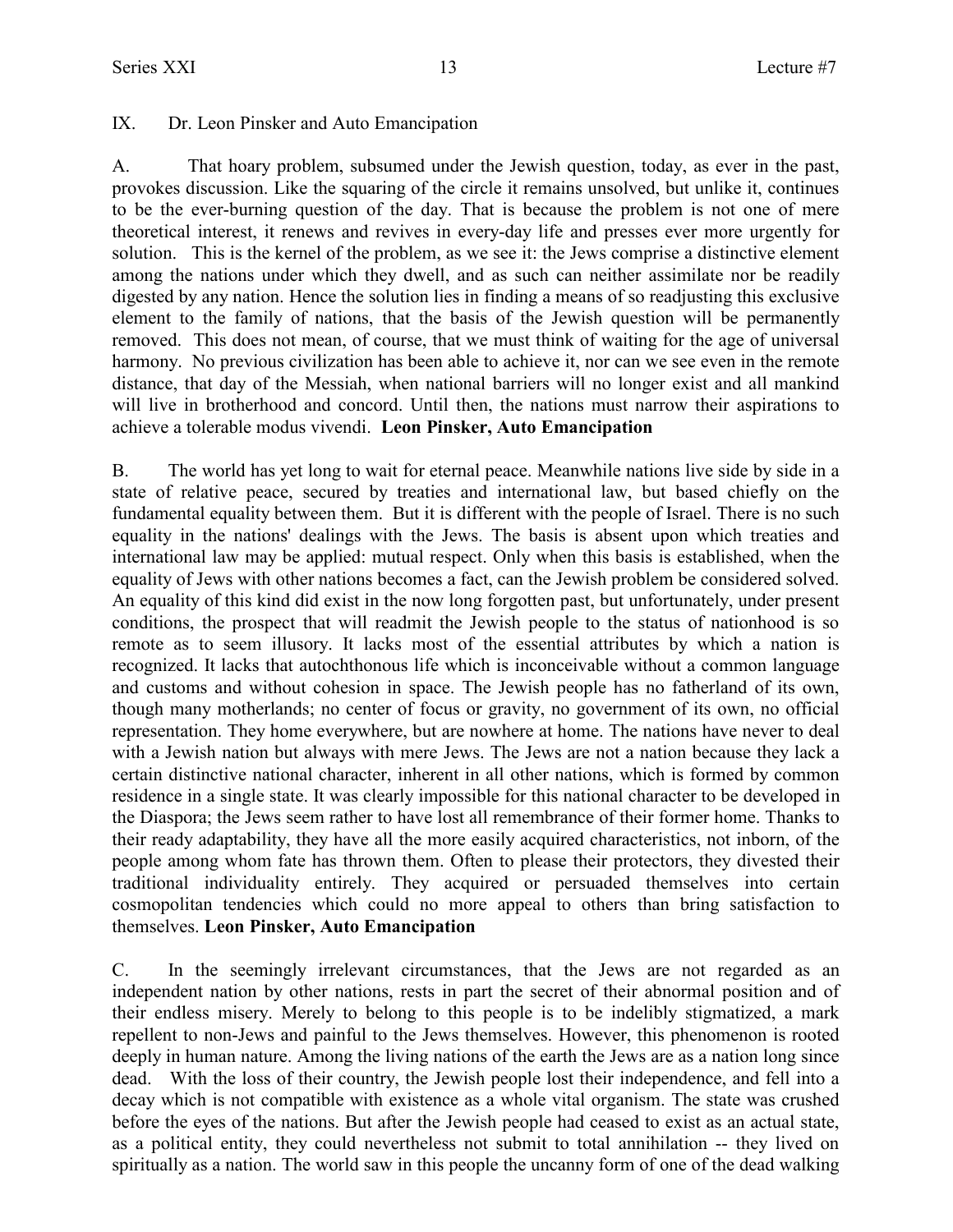#### IX. Dr. Leon Pinsker and Auto Emancipation

A. That hoary problem, subsumed under the Jewish question, today, as ever in the past, provokes discussion. Like the squaring of the circle it remains unsolved, but unlike it, continues to be the ever-burning question of the day. That is because the problem is not one of mere theoretical interest, it renews and revives in every-day life and presses ever more urgently for solution. This is the kernel of the problem, as we see it: the Jews comprise a distinctive element among the nations under which they dwell, and as such can neither assimilate nor be readily digested by any nation. Hence the solution lies in finding a means of so readjusting this exclusive element to the family of nations, that the basis of the Jewish question will be permanently removed. This does not mean, of course, that we must think of waiting for the age of universal harmony. No previous civilization has been able to achieve it, nor can we see even in the remote distance, that day of the Messiah, when national barriers will no longer exist and all mankind will live in brotherhood and concord. Until then, the nations must narrow their aspirations to achieve a tolerable modus vivendi. **Leon Pinsker, Auto Emancipation**

B. The world has yet long to wait for eternal peace. Meanwhile nations live side by side in a state of relative peace, secured by treaties and international law, but based chiefly on the fundamental equality between them. But it is different with the people of Israel. There is no such equality in the nations' dealings with the Jews. The basis is absent upon which treaties and international law may be applied: mutual respect. Only when this basis is established, when the equality of Jews with other nations becomes a fact, can the Jewish problem be considered solved. An equality of this kind did exist in the now long forgotten past, but unfortunately, under present conditions, the prospect that will readmit the Jewish people to the status of nationhood is so remote as to seem illusory. It lacks most of the essential attributes by which a nation is recognized. It lacks that autochthonous life which is inconceivable without a common language and customs and without cohesion in space. The Jewish people has no fatherland of its own, though many motherlands; no center of focus or gravity, no government of its own, no official representation. They home everywhere, but are nowhere at home. The nations have never to deal with a Jewish nation but always with mere Jews. The Jews are not a nation because they lack a certain distinctive national character, inherent in all other nations, which is formed by common residence in a single state. It was clearly impossible for this national character to be developed in the Diaspora; the Jews seem rather to have lost all remembrance of their former home. Thanks to their ready adaptability, they have all the more easily acquired characteristics, not inborn, of the people among whom fate has thrown them. Often to please their protectors, they divested their traditional individuality entirely. They acquired or persuaded themselves into certain cosmopolitan tendencies which could no more appeal to others than bring satisfaction to themselves. **Leon Pinsker, Auto Emancipation**

C. In the seemingly irrelevant circumstances, that the Jews are not regarded as an independent nation by other nations, rests in part the secret of their abnormal position and of their endless misery. Merely to belong to this people is to be indelibly stigmatized, a mark repellent to non-Jews and painful to the Jews themselves. However, this phenomenon is rooted deeply in human nature. Among the living nations of the earth the Jews are as a nation long since dead. With the loss of their country, the Jewish people lost their independence, and fell into a decay which is not compatible with existence as a whole vital organism. The state was crushed before the eyes of the nations. But after the Jewish people had ceased to exist as an actual state, as a political entity, they could nevertheless not submit to total annihilation -- they lived on spiritually as a nation. The world saw in this people the uncanny form of one of the dead walking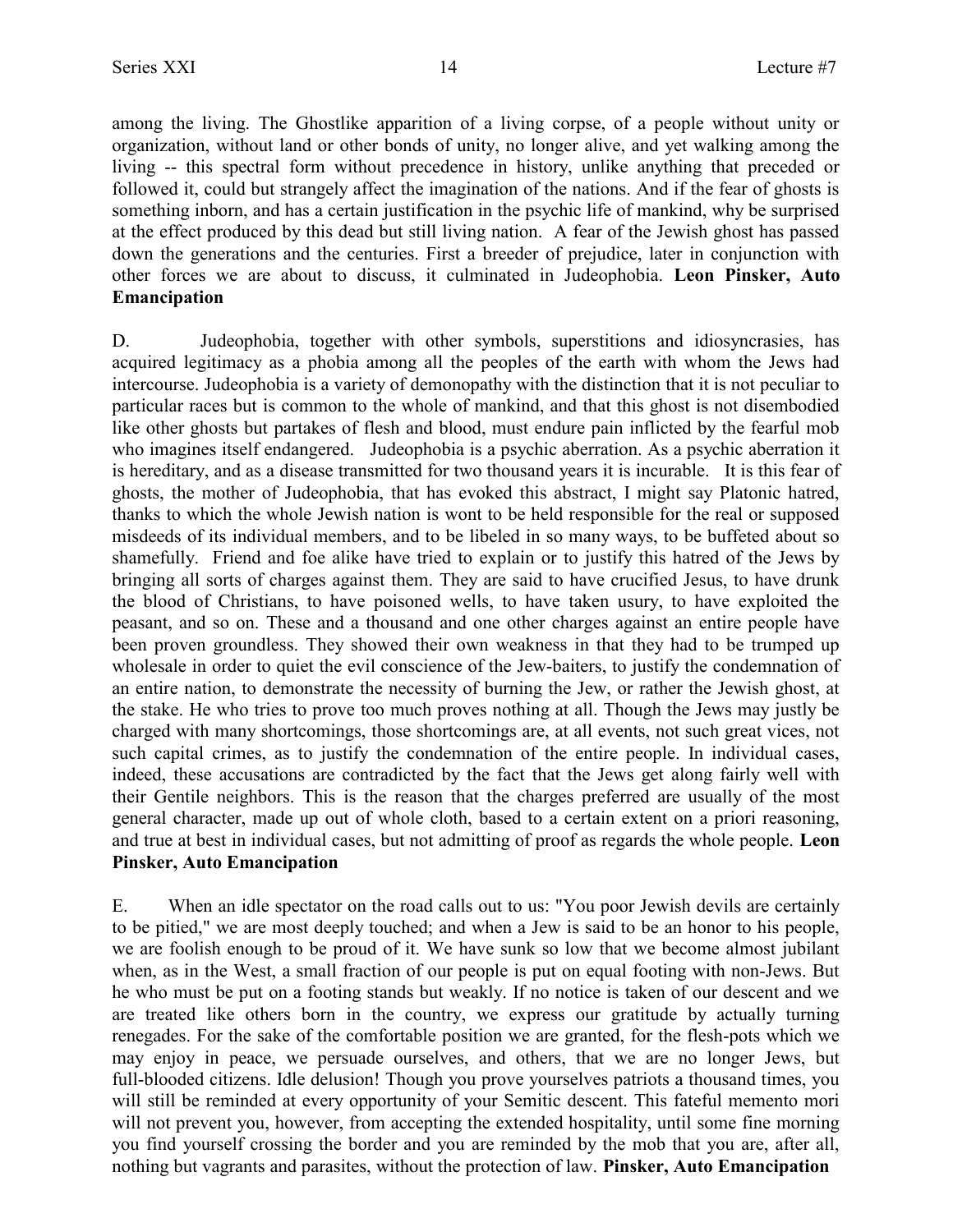among the living. The Ghostlike apparition of a living corpse, of a people without unity or organization, without land or other bonds of unity, no longer alive, and yet walking among the living -- this spectral form without precedence in history, unlike anything that preceded or followed it, could but strangely affect the imagination of the nations. And if the fear of ghosts is something inborn, and has a certain justification in the psychic life of mankind, why be surprised at the effect produced by this dead but still living nation. A fear of the Jewish ghost has passed down the generations and the centuries. First a breeder of prejudice, later in conjunction with other forces we are about to discuss, it culminated in Judeophobia. **Leon Pinsker, Auto Emancipation**

D. Judeophobia, together with other symbols, superstitions and idiosyncrasies, has acquired legitimacy as a phobia among all the peoples of the earth with whom the Jews had intercourse. Judeophobia is a variety of demonopathy with the distinction that it is not peculiar to particular races but is common to the whole of mankind, and that this ghost is not disembodied like other ghosts but partakes of flesh and blood, must endure pain inflicted by the fearful mob who imagines itself endangered. Judeophobia is a psychic aberration. As a psychic aberration it is hereditary, and as a disease transmitted for two thousand years it is incurable. It is this fear of ghosts, the mother of Judeophobia, that has evoked this abstract, I might say Platonic hatred, thanks to which the whole Jewish nation is wont to be held responsible for the real or supposed misdeeds of its individual members, and to be libeled in so many ways, to be buffeted about so shamefully. Friend and foe alike have tried to explain or to justify this hatred of the Jews by bringing all sorts of charges against them. They are said to have crucified Jesus, to have drunk the blood of Christians, to have poisoned wells, to have taken usury, to have exploited the peasant, and so on. These and a thousand and one other charges against an entire people have been proven groundless. They showed their own weakness in that they had to be trumped up wholesale in order to quiet the evil conscience of the Jew-baiters, to justify the condemnation of an entire nation, to demonstrate the necessity of burning the Jew, or rather the Jewish ghost, at the stake. He who tries to prove too much proves nothing at all. Though the Jews may justly be charged with many shortcomings, those shortcomings are, at all events, not such great vices, not such capital crimes, as to justify the condemnation of the entire people. In individual cases, indeed, these accusations are contradicted by the fact that the Jews get along fairly well with their Gentile neighbors. This is the reason that the charges preferred are usually of the most general character, made up out of whole cloth, based to a certain extent on a priori reasoning, and true at best in individual cases, but not admitting of proof as regards the whole people. **Leon Pinsker, Auto Emancipation**

E. When an idle spectator on the road calls out to us: "You poor Jewish devils are certainly to be pitied," we are most deeply touched; and when a Jew is said to be an honor to his people, we are foolish enough to be proud of it. We have sunk so low that we become almost jubilant when, as in the West, a small fraction of our people is put on equal footing with non-Jews. But he who must be put on a footing stands but weakly. If no notice is taken of our descent and we are treated like others born in the country, we express our gratitude by actually turning renegades. For the sake of the comfortable position we are granted, for the flesh-pots which we may enjoy in peace, we persuade ourselves, and others, that we are no longer Jews, but full-blooded citizens. Idle delusion! Though you prove yourselves patriots a thousand times, you will still be reminded at every opportunity of your Semitic descent. This fateful memento mori will not prevent you, however, from accepting the extended hospitality, until some fine morning you find yourself crossing the border and you are reminded by the mob that you are, after all, nothing but vagrants and parasites, without the protection of law. **Pinsker, Auto Emancipation**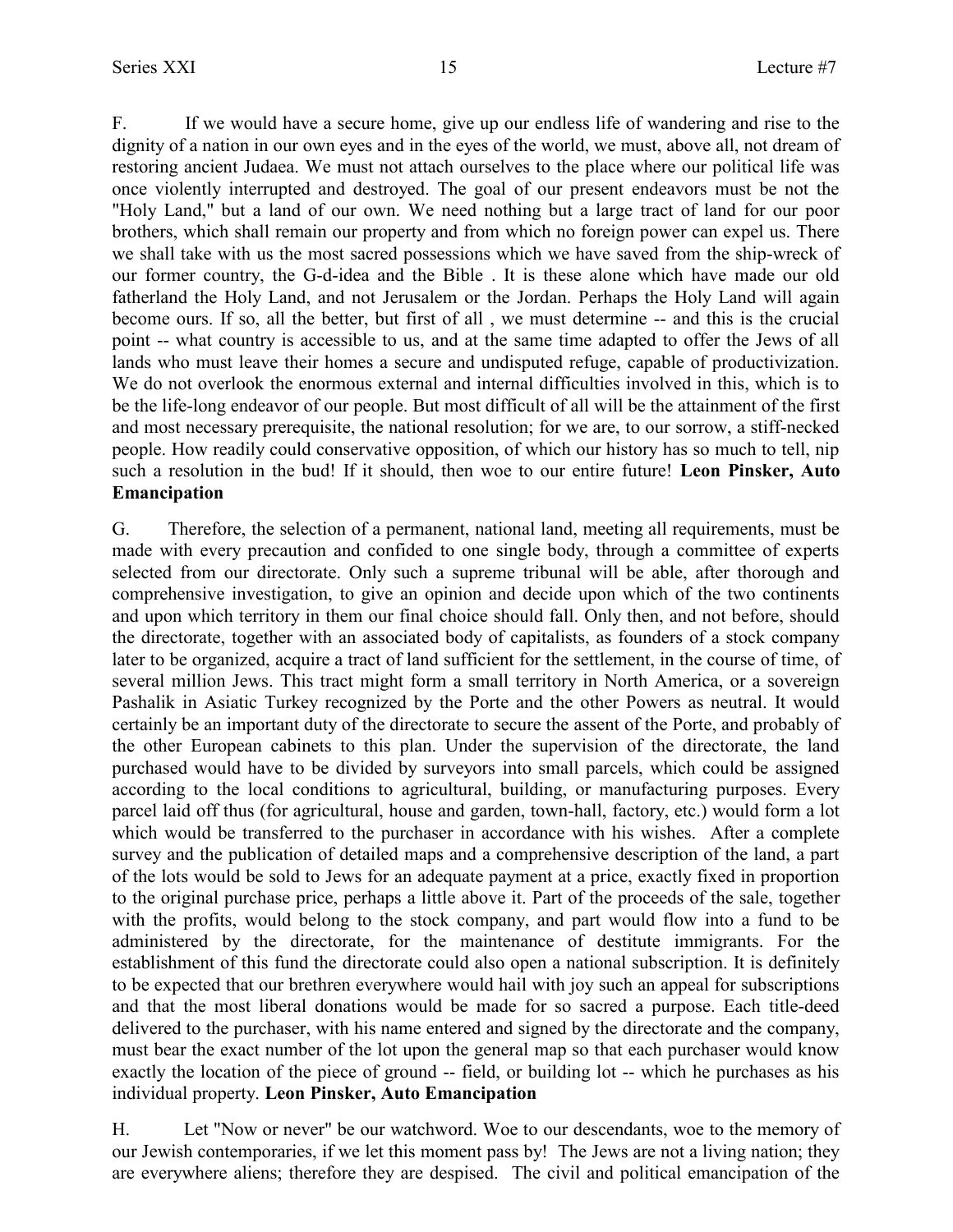F. If we would have a secure home, give up our endless life of wandering and rise to the dignity of a nation in our own eyes and in the eyes of the world, we must, above all, not dream of restoring ancient Judaea. We must not attach ourselves to the place where our political life was once violently interrupted and destroyed. The goal of our present endeavors must be not the "Holy Land," but a land of our own. We need nothing but a large tract of land for our poor brothers, which shall remain our property and from which no foreign power can expel us. There we shall take with us the most sacred possessions which we have saved from the ship-wreck of our former country, the G-d-idea and the Bible . It is these alone which have made our old fatherland the Holy Land, and not Jerusalem or the Jordan. Perhaps the Holy Land will again become ours. If so, all the better, but first of all , we must determine -- and this is the crucial point -- what country is accessible to us, and at the same time adapted to offer the Jews of all lands who must leave their homes a secure and undisputed refuge, capable of productivization. We do not overlook the enormous external and internal difficulties involved in this, which is to be the life-long endeavor of our people. But most difficult of all will be the attainment of the first and most necessary prerequisite, the national resolution; for we are, to our sorrow, a stiff-necked people. How readily could conservative opposition, of which our history has so much to tell, nip such a resolution in the bud! If it should, then woe to our entire future! **Leon Pinsker, Auto Emancipation**

G. Therefore, the selection of a permanent, national land, meeting all requirements, must be made with every precaution and confided to one single body, through a committee of experts selected from our directorate. Only such a supreme tribunal will be able, after thorough and comprehensive investigation, to give an opinion and decide upon which of the two continents and upon which territory in them our final choice should fall. Only then, and not before, should the directorate, together with an associated body of capitalists, as founders of a stock company later to be organized, acquire a tract of land sufficient for the settlement, in the course of time, of several million Jews. This tract might form a small territory in North America, or a sovereign Pashalik in Asiatic Turkey recognized by the Porte and the other Powers as neutral. It would certainly be an important duty of the directorate to secure the assent of the Porte, and probably of the other European cabinets to this plan. Under the supervision of the directorate, the land purchased would have to be divided by surveyors into small parcels, which could be assigned according to the local conditions to agricultural, building, or manufacturing purposes. Every parcel laid off thus (for agricultural, house and garden, town-hall, factory, etc.) would form a lot which would be transferred to the purchaser in accordance with his wishes. After a complete survey and the publication of detailed maps and a comprehensive description of the land, a part of the lots would be sold to Jews for an adequate payment at a price, exactly fixed in proportion to the original purchase price, perhaps a little above it. Part of the proceeds of the sale, together with the profits, would belong to the stock company, and part would flow into a fund to be administered by the directorate, for the maintenance of destitute immigrants. For the establishment of this fund the directorate could also open a national subscription. It is definitely to be expected that our brethren everywhere would hail with joy such an appeal for subscriptions and that the most liberal donations would be made for so sacred a purpose. Each title-deed delivered to the purchaser, with his name entered and signed by the directorate and the company, must bear the exact number of the lot upon the general map so that each purchaser would know exactly the location of the piece of ground -- field, or building lot -- which he purchases as his individual property. **Leon Pinsker, Auto Emancipation**

H. Let "Now or never" be our watchword. Woe to our descendants, woe to the memory of our Jewish contemporaries, if we let this moment pass by! The Jews are not a living nation; they are everywhere aliens; therefore they are despised. The civil and political emancipation of the